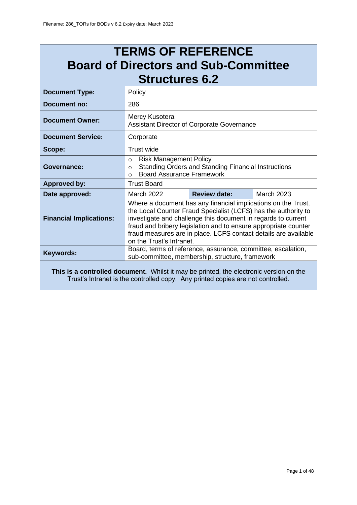# **TERMS OF REFERENCE Board of Directors and Sub-Committee Structures 6.2**

| <b>Document Type:</b>                                                                  | Policy                                                                                                                                                                                                                                                                                                                                                             |  |  |  |
|----------------------------------------------------------------------------------------|--------------------------------------------------------------------------------------------------------------------------------------------------------------------------------------------------------------------------------------------------------------------------------------------------------------------------------------------------------------------|--|--|--|
| Document no:                                                                           | 286                                                                                                                                                                                                                                                                                                                                                                |  |  |  |
| <b>Document Owner:</b>                                                                 | Mercy Kusotera<br>Assistant Director of Corporate Governance                                                                                                                                                                                                                                                                                                       |  |  |  |
| <b>Document Service:</b>                                                               | Corporate                                                                                                                                                                                                                                                                                                                                                          |  |  |  |
| Scope:                                                                                 | Trust wide                                                                                                                                                                                                                                                                                                                                                         |  |  |  |
| <b>Governance:</b>                                                                     | <b>Risk Management Policy</b><br>$\Omega$<br><b>Standing Orders and Standing Financial Instructions</b><br>$\Omega$<br><b>Board Assurance Framework</b><br>$\Omega$                                                                                                                                                                                                |  |  |  |
| <b>Approved by:</b>                                                                    | <b>Trust Board</b>                                                                                                                                                                                                                                                                                                                                                 |  |  |  |
| Date approved:                                                                         | <b>Review date:</b><br><b>March 2023</b><br><b>March 2022</b>                                                                                                                                                                                                                                                                                                      |  |  |  |
| <b>Financial Implications:</b>                                                         | Where a document has any financial implications on the Trust,<br>the Local Counter Fraud Specialist (LCFS) has the authority to<br>investigate and challenge this document in regards to current<br>fraud and bribery legislation and to ensure appropriate counter<br>fraud measures are in place. LCFS contact details are available<br>on the Trust's Intranet. |  |  |  |
| Keywords:                                                                              | Board, terms of reference, assurance, committee, escalation,<br>sub-committee, membership, structure, framework                                                                                                                                                                                                                                                    |  |  |  |
| This is a controlled document. Whilst it may be printed, the electronic version on the |                                                                                                                                                                                                                                                                                                                                                                    |  |  |  |

Trust's Intranet is the controlled copy. Any printed copies are not controlled.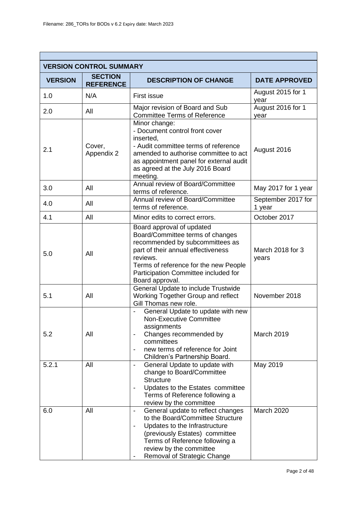|                | <b>VERSION CONTROL SUMMARY</b>     |                                                                                                                                                                                                                                                                  |                              |  |
|----------------|------------------------------------|------------------------------------------------------------------------------------------------------------------------------------------------------------------------------------------------------------------------------------------------------------------|------------------------------|--|
| <b>VERSION</b> | <b>SECTION</b><br><b>REFERENCE</b> | <b>DESCRIPTION OF CHANGE</b>                                                                                                                                                                                                                                     | <b>DATE APPROVED</b>         |  |
| 1.0            | N/A                                | <b>First issue</b>                                                                                                                                                                                                                                               | August 2015 for 1<br>year    |  |
| 2.0            | All                                | Major revision of Board and Sub<br><b>Committee Terms of Reference</b>                                                                                                                                                                                           | August 2016 for 1<br>year    |  |
| 2.1            | Cover,<br>Appendix 2               | Minor change:<br>- Document control front cover<br>inserted,<br>- Audit committee terms of reference<br>amended to authorise committee to act<br>as appointment panel for external audit<br>as agreed at the July 2016 Board<br>meeting.                         | August 2016                  |  |
| 3.0            | All                                | Annual review of Board/Committee<br>terms of reference.                                                                                                                                                                                                          | May 2017 for 1 year          |  |
| 4.0            | All                                | Annual review of Board/Committee<br>terms of reference.                                                                                                                                                                                                          | September 2017 for<br>1 year |  |
| 4.1            | All                                | Minor edits to correct errors.                                                                                                                                                                                                                                   | October 2017                 |  |
| 5.0            | All                                | Board approval of updated<br>Board/Committee terms of changes<br>recommended by subcommittees as<br>part of their annual effectiveness<br>reviews.<br>Terms of reference for the new People<br>Participation Committee included for<br>Board approval.           | March 2018 for 3<br>years    |  |
| 5.1            | All                                | General Update to include Trustwide<br>Working Together Group and reflect<br>Gill Thomas new role.                                                                                                                                                               | November 2018                |  |
| 5.2            | All                                | General Update to update with new<br><b>Non-Executive Committee</b><br>assignments<br>Changes recommended by<br>$\overline{\phantom{a}}$<br>committees<br>new terms of reference for Joint<br>Children's Partnership Board.                                      | March 2019                   |  |
| 5.2.1          | All                                | General Update to update with<br>$\overline{\phantom{a}}$<br>change to Board/Committee<br><b>Structure</b><br>Updates to the Estates committee<br>$\overline{\phantom{a}}$<br>Terms of Reference following a<br>review by the committee                          | May 2019                     |  |
| 6.0            | All                                | General update to reflect changes<br>$\overline{\phantom{a}}$<br>to the Board/Committee Structure<br>Updates to the Infrastructure<br>(previously Estates) committee<br>Terms of Reference following a<br>review by the committee<br>Removal of Strategic Change | March 2020                   |  |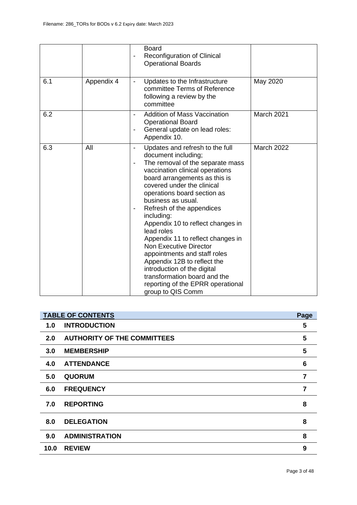|     |            | <b>Board</b><br>Reconfiguration of Clinical<br>-<br><b>Operational Boards</b>                                                                                                                                                                                                                                                                                                                                                                                                                                                                                                                                                                                                                         |            |
|-----|------------|-------------------------------------------------------------------------------------------------------------------------------------------------------------------------------------------------------------------------------------------------------------------------------------------------------------------------------------------------------------------------------------------------------------------------------------------------------------------------------------------------------------------------------------------------------------------------------------------------------------------------------------------------------------------------------------------------------|------------|
| 6.1 | Appendix 4 | Updates to the Infrastructure<br>$\blacksquare$<br>committee Terms of Reference<br>following a review by the<br>committee                                                                                                                                                                                                                                                                                                                                                                                                                                                                                                                                                                             | May 2020   |
| 6.2 |            | <b>Addition of Mass Vaccination</b><br>$\overline{\phantom{a}}$<br><b>Operational Board</b><br>General update on lead roles:<br>$\blacksquare$<br>Appendix 10.                                                                                                                                                                                                                                                                                                                                                                                                                                                                                                                                        | March 2021 |
| 6.3 | All        | Updates and refresh to the full<br>$\qquad \qquad \blacksquare$<br>document including;<br>The removal of the separate mass<br>$\overline{\phantom{a}}$<br>vaccination clinical operations<br>board arrangements as this is<br>covered under the clinical<br>operations board section as<br>business as usual.<br>Refresh of the appendices<br>$\overline{\phantom{a}}$<br>including:<br>Appendix 10 to reflect changes in<br>lead roles<br>Appendix 11 to reflect changes in<br><b>Non Executive Director</b><br>appointments and staff roles<br>Appendix 12B to reflect the<br>introduction of the digital<br>transformation board and the<br>reporting of the EPRR operational<br>group to QIS Comm | March 2022 |

|      | <b>TABLE OF CONTENTS</b>           | Page |
|------|------------------------------------|------|
| 1.0  | <b>INTRODUCTION</b>                | 5    |
| 2.0  | <b>AUTHORITY OF THE COMMITTEES</b> | 5    |
| 3.0  | <b>MEMBERSHIP</b>                  | 5    |
| 4.0  | <b>ATTENDANCE</b>                  | 6    |
| 5.0  | <b>QUORUM</b>                      | 7    |
| 6.0  | <b>FREQUENCY</b>                   | 7    |
| 7.0  | <b>REPORTING</b>                   | 8    |
| 8.0  | <b>DELEGATION</b>                  | 8    |
| 9.0  | <b>ADMINISTRATION</b>              | 8    |
| 10.0 | <b>REVIEW</b>                      | 9    |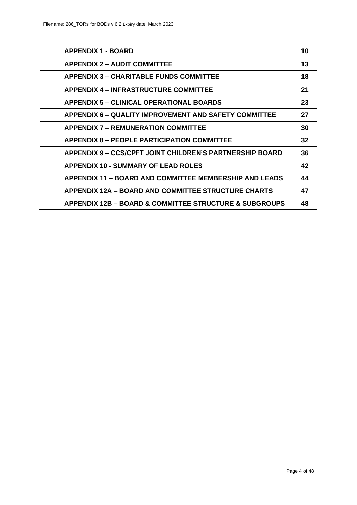| <b>APPENDIX 1 - BOARD</b>                                       | 10 |
|-----------------------------------------------------------------|----|
| <b>APPENDIX 2 – AUDIT COMMITTEE</b>                             | 13 |
| <b>APPENDIX 3 – CHARITABLE FUNDS COMMITTEE</b>                  | 18 |
| <b>APPENDIX 4 – INFRASTRUCTURE COMMITTEE</b>                    | 21 |
| APPENDIX 5 - CLINICAL OPERATIONAL BOARDS                        | 23 |
| <b>APPENDIX 6 – QUALITY IMPROVEMENT AND SAFETY COMMITTEE</b>    | 27 |
| <b>APPENDIX 7 - REMUNERATION COMMITTEE</b>                      | 30 |
| <b>APPENDIX 8 – PEOPLE PARTICIPATION COMMITTEE</b>              | 32 |
| <b>APPENDIX 9 – CCS/CPFT JOINT CHILDREN'S PARTNERSHIP BOARD</b> | 36 |
| <b>APPENDIX 10 - SUMMARY OF LEAD ROLES</b>                      | 42 |
| <b>APPENDIX 11 – BOARD AND COMMITTEE MEMBERSHIP AND LEADS</b>   | 44 |
| <b>APPENDIX 12A - BOARD AND COMMITTEE STRUCTURE CHARTS</b>      | 47 |
| APPENDIX 12B – BOARD & COMMITTEE STRUCTURE & SUBGROUPS          | 48 |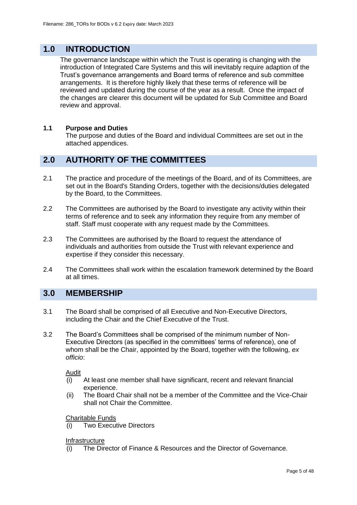## **1.0 INTRODUCTION**

The governance landscape within which the Trust is operating is changing with the introduction of Integrated Care Systems and this will inevitably require adaption of the Trust's governance arrangements and Board terms of reference and sub committee arrangements. It is therefore highly likely that these terms of reference will be reviewed and updated during the course of the year as a result. Once the impact of the changes are clearer this document will be updated for Sub Committee and Board review and approval.

#### **1.1 Purpose and Duties**

The purpose and duties of the Board and individual Committees are set out in the attached appendices.

## **2.0 AUTHORITY OF THE COMMITTEES**

- 2.1 The practice and procedure of the meetings of the Board, and of its Committees, are set out in the Board's Standing Orders, together with the decisions/duties delegated by the Board, to the Committees.
- 2.2 The Committees are authorised by the Board to investigate any activity within their terms of reference and to seek any information they require from any member of staff. Staff must cooperate with any request made by the Committees.
- 2.3 The Committees are authorised by the Board to request the attendance of individuals and authorities from outside the Trust with relevant experience and expertise if they consider this necessary.
- 2.4 The Committees shall work within the escalation framework determined by the Board at all times.

## **3.0 MEMBERSHIP**

- 3.1 The Board shall be comprised of all Executive and Non-Executive Directors, including the Chair and the Chief Executive of the Trust.
- 3.2 The Board's Committees shall be comprised of the minimum number of Non-Executive Directors (as specified in the committees' terms of reference), one of whom shall be the Chair, appointed by the Board, together with the following, *ex officio*:

Audit

- (i) At least one member shall have significant, recent and relevant financial experience.
- (ii) The Board Chair shall not be a member of the Committee and the Vice-Chair shall not Chair the Committee.

#### Charitable Funds

**Two Executive Directors** 

Infrastructure

(i) The Director of Finance & Resources and the Director of Governance.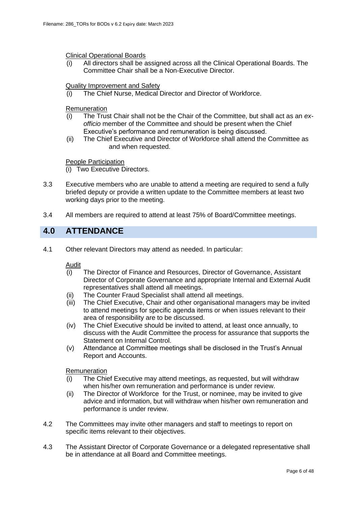Clinical Operational Boards

All directors shall be assigned across all the Clinical Operational Boards. The Committee Chair shall be a Non-Executive Director.

#### Quality Improvement and Safety

(i) The Chief Nurse, Medical Director and Director of Workforce.

#### Remuneration

- (i) The Trust Chair shall not be the Chair of the Committee, but shall act as an *exofficio* member of the Committee and should be present when the Chief Executive's performance and remuneration is being discussed.
- (ii) The Chief Executive and Director of Workforce shall attend the Committee as and when requested.

People Participation

(i) Two Executive Directors.

- 3.3 Executive members who are unable to attend a meeting are required to send a fully briefed deputy or provide a written update to the Committee members at least two working days prior to the meeting.
- 3.4 All members are required to attend at least 75% of Board/Committee meetings.

### **4.0 ATTENDANCE**

4.1 Other relevant Directors may attend as needed. In particular:

Audit

- (i) The Director of Finance and Resources, Director of Governance, Assistant Director of Corporate Governance and appropriate Internal and External Audit representatives shall attend all meetings.
- (ii) The Counter Fraud Specialist shall attend all meetings.
- (iii) The Chief Executive, Chair and other organisational managers may be invited to attend meetings for specific agenda items or when issues relevant to their area of responsibility are to be discussed.
- (iv) The Chief Executive should be invited to attend, at least once annually, to discuss with the Audit Committee the process for assurance that supports the Statement on Internal Control.
- (v) Attendance at Committee meetings shall be disclosed in the Trust's Annual Report and Accounts.

#### Remuneration

- (i) The Chief Executive may attend meetings, as requested, but will withdraw when his/her own remuneration and performance is under review.
- (ii) The Director of Workforce for the Trust, or nominee, may be invited to give advice and information, but will withdraw when his/her own remuneration and performance is under review.
- 4.2 The Committees may invite other managers and staff to meetings to report on specific items relevant to their objectives.
- 4.3 The Assistant Director of Corporate Governance or a delegated representative shall be in attendance at all Board and Committee meetings.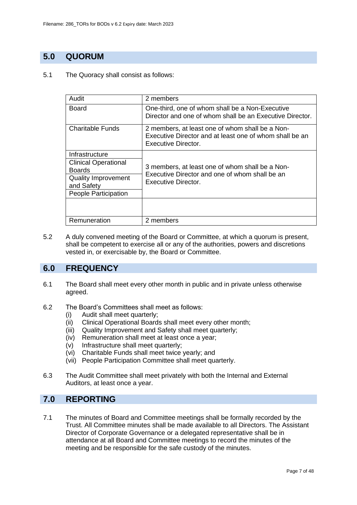## **5.0 QUORUM**

5.1 The Quoracy shall consist as follows:

| Audit                                        | 2 members                                                                                                                                |  |
|----------------------------------------------|------------------------------------------------------------------------------------------------------------------------------------------|--|
| Board                                        | One-third, one of whom shall be a Non-Executive<br>Director and one of whom shall be an Executive Director.                              |  |
| Charitable Funds                             | 2 members, at least one of whom shall be a Non-<br>Executive Director and at least one of whom shall be an<br><b>Executive Director.</b> |  |
| Infrastructure                               |                                                                                                                                          |  |
| <b>Clinical Operational</b><br><b>Boards</b> | 3 members, at least one of whom shall be a Non-<br>Executive Director and one of whom shall be an<br>Executive Director.                 |  |
| <b>Quality Improvement</b><br>and Safety     |                                                                                                                                          |  |
| People Participation                         |                                                                                                                                          |  |
|                                              |                                                                                                                                          |  |
| Remuneration                                 | 2 members                                                                                                                                |  |

5.2 A duly convened meeting of the Board or Committee, at which a quorum is present, shall be competent to exercise all or any of the authorities, powers and discretions vested in, or exercisable by, the Board or Committee.

## **6.0 FREQUENCY**

- 6.1 The Board shall meet every other month in public and in private unless otherwise agreed.
- 6.2 The Board's Committees shall meet as follows:
	- (i) Audit shall meet quarterly;
	- (ii) Clinical Operational Boards shall meet every other month;
	- (iii) Quality Improvement and Safety shall meet quarterly;
	- (iv) Remuneration shall meet at least once a year;
	- (v) Infrastructure shall meet quarterly;
	- (vi) Charitable Funds shall meet twice yearly; and
	- (vii) People Participation Committee shall meet quarterly.
- 6.3 The Audit Committee shall meet privately with both the Internal and External Auditors, at least once a year.

## **7.0 REPORTING**

7.1 The minutes of Board and Committee meetings shall be formally recorded by the Trust. All Committee minutes shall be made available to all Directors. The Assistant Director of Corporate Governance or a delegated representative shall be in attendance at all Board and Committee meetings to record the minutes of the meeting and be responsible for the safe custody of the minutes.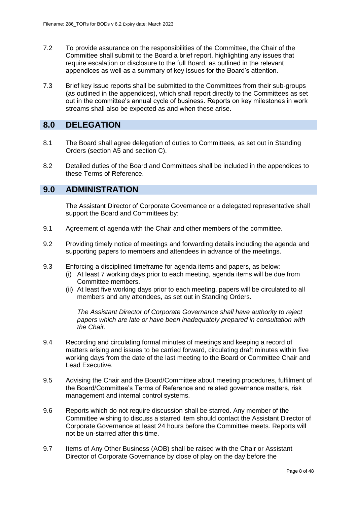- 7.2 To provide assurance on the responsibilities of the Committee, the Chair of the Committee shall submit to the Board a brief report, highlighting any issues that require escalation or disclosure to the full Board, as outlined in the relevant appendices as well as a summary of key issues for the Board's attention.
- 7.3 Brief key issue reports shall be submitted to the Committees from their sub-groups (as outlined in the appendices), which shall report directly to the Committees as set out in the committee's annual cycle of business. Reports on key milestones in work streams shall also be expected as and when these arise.

### **8.0 DELEGATION**

- 8.1 The Board shall agree delegation of duties to Committees, as set out in Standing Orders (section A5 and section C).
- 8.2 Detailed duties of the Board and Committees shall be included in the appendices to these Terms of Reference.

## **9.0 ADMINISTRATION**

The Assistant Director of Corporate Governance or a delegated representative shall support the Board and Committees by:

- 9.1 Agreement of agenda with the Chair and other members of the committee.
- 9.2 Providing timely notice of meetings and forwarding details including the agenda and supporting papers to members and attendees in advance of the meetings.
- 9.3 Enforcing a disciplined timeframe for agenda items and papers, as below:
	- (i) At least 7 working days prior to each meeting, agenda items will be due from Committee members.
	- (ii) At least five working days prior to each meeting, papers will be circulated to all members and any attendees, as set out in Standing Orders.

*The Assistant Director of Corporate Governance shall have authority to reject papers which are late or have been inadequately prepared in consultation with the Chair.*

- 9.4 Recording and circulating formal minutes of meetings and keeping a record of matters arising and issues to be carried forward, circulating draft minutes within five working days from the date of the last meeting to the Board or Committee Chair and Lead Executive.
- 9.5 Advising the Chair and the Board/Committee about meeting procedures, fulfilment of the Board/Committee's Terms of Reference and related governance matters, risk management and internal control systems.
- 9.6 Reports which do not require discussion shall be starred. Any member of the Committee wishing to discuss a starred item should contact the Assistant Director of Corporate Governance at least 24 hours before the Committee meets. Reports will not be un-starred after this time.
- 9.7 Items of Any Other Business (AOB) shall be raised with the Chair or Assistant Director of Corporate Governance by close of play on the day before the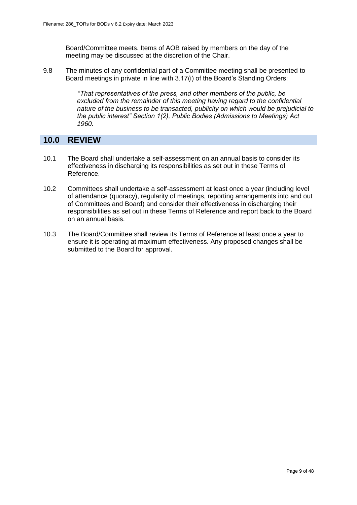Board/Committee meets. Items of AOB raised by members on the day of the meeting may be discussed at the discretion of the Chair.

9.8 The minutes of any confidential part of a Committee meeting shall be presented to Board meetings in private in line with 3.17(i) of the Board's Standing Orders:

> *"That representatives of the press, and other members of the public, be excluded from the remainder of this meeting having regard to the confidential nature of the business to be transacted, publicity on which would be prejudicial to the public interest" Section 1(2), Public Bodies (Admissions to Meetings) Act 1960.*

### **10.0 REVIEW**

- 10.1 The Board shall undertake a self-assessment on an annual basis to consider its effectiveness in discharging its responsibilities as set out in these Terms of Reference.
- 10.2 Committees shall undertake a self-assessment at least once a year (including level of attendance (quoracy), regularity of meetings, reporting arrangements into and out of Committees and Board) and consider their effectiveness in discharging their responsibilities as set out in these Terms of Reference and report back to the Board on an annual basis.
- 10.3 The Board/Committee shall review its Terms of Reference at least once a year to ensure it is operating at maximum effectiveness. Any proposed changes shall be submitted to the Board for approval.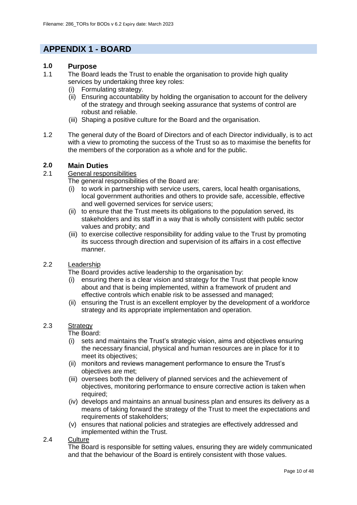## **APPENDIX 1 - BOARD**

#### **1.0 Purpose**

- 1.1 The Board leads the Trust to enable the organisation to provide high quality services by undertaking three key roles:
	- (i) Formulating strategy.
	- (ii) Ensuring accountability by holding the organisation to account for the delivery of the strategy and through seeking assurance that systems of control are robust and reliable.
	- (iii) Shaping a positive culture for the Board and the organisation.
- 1.2 The general duty of the Board of Directors and of each Director individually, is to act with a view to promoting the success of the Trust so as to maximise the benefits for the members of the corporation as a whole and for the public.

#### **2.0 Main Duties**

#### 2.1 General responsibilities

The general responsibilities of the Board are:

- (i) to work in partnership with service users, carers, local health organisations, local government authorities and others to provide safe, accessible, effective and well governed services for service users;
- (ii) to ensure that the Trust meets its obligations to the population served, its stakeholders and its staff in a way that is wholly consistent with public sector values and probity; and
- (iii) to exercise collective responsibility for adding value to the Trust by promoting its success through direction and supervision of its affairs in a cost effective manner.

#### 2.2 Leadership

The Board provides active leadership to the organisation by:

- (i) ensuring there is a clear vision and strategy for the Trust that people know about and that is being implemented, within a framework of prudent and effective controls which enable risk to be assessed and managed;
- (ii) ensuring the Trust is an excellent employer by the development of a workforce strategy and its appropriate implementation and operation.

#### 2.3 Strategy

The Board:

- (i) sets and maintains the Trust's strategic vision, aims and objectives ensuring the necessary financial, physical and human resources are in place for it to meet its objectives;
- (ii) monitors and reviews management performance to ensure the Trust's objectives are met;
- (iii) oversees both the delivery of planned services and the achievement of objectives, monitoring performance to ensure corrective action is taken when required;
- (iv) develops and maintains an annual business plan and ensures its delivery as a means of taking forward the strategy of the Trust to meet the expectations and requirements of stakeholders;
- (v) ensures that national policies and strategies are effectively addressed and implemented within the Trust.

#### 2.4 Culture

The Board is responsible for setting values, ensuring they are widely communicated and that the behaviour of the Board is entirely consistent with those values.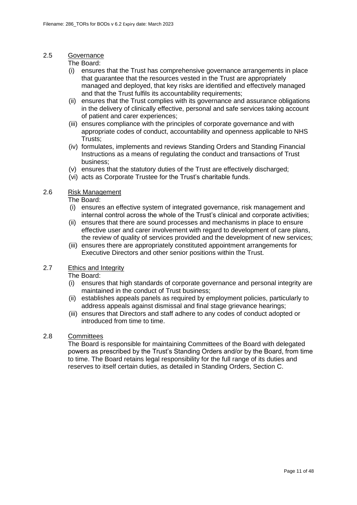#### 2.5 Governance

The Board:

- (i) ensures that the Trust has comprehensive governance arrangements in place that guarantee that the resources vested in the Trust are appropriately managed and deployed, that key risks are identified and effectively managed and that the Trust fulfils its accountability requirements;
- (ii) ensures that the Trust complies with its governance and assurance obligations in the delivery of clinically effective, personal and safe services taking account of patient and carer experiences;
- (iii) ensures compliance with the principles of corporate governance and with appropriate codes of conduct, accountability and openness applicable to NHS Trusts;
- (iv) formulates, implements and reviews Standing Orders and Standing Financial Instructions as a means of regulating the conduct and transactions of Trust business;
- (v) ensures that the statutory duties of the Trust are effectively discharged;
- (vi) acts as Corporate Trustee for the Trust's charitable funds.

#### 2.6 Risk Management

The Board:

- (i) ensures an effective system of integrated governance, risk management and internal control across the whole of the Trust's clinical and corporate activities;
- (ii) ensures that there are sound processes and mechanisms in place to ensure effective user and carer involvement with regard to development of care plans, the review of quality of services provided and the development of new services;
- (iii) ensures there are appropriately constituted appointment arrangements for Executive Directors and other senior positions within the Trust.

#### 2.7 Ethics and Integrity

The Board:

- (i) ensures that high standards of corporate governance and personal integrity are maintained in the conduct of Trust business;
- (ii) establishes appeals panels as required by employment policies, particularly to address appeals against dismissal and final stage grievance hearings:
- (iii) ensures that Directors and staff adhere to any codes of conduct adopted or introduced from time to time.

#### 2.8 Committees

The Board is responsible for maintaining Committees of the Board with delegated powers as prescribed by the Trust's Standing Orders and/or by the Board, from time to time. The Board retains legal responsibility for the full range of its duties and reserves to itself certain duties, as detailed in Standing Orders, Section C.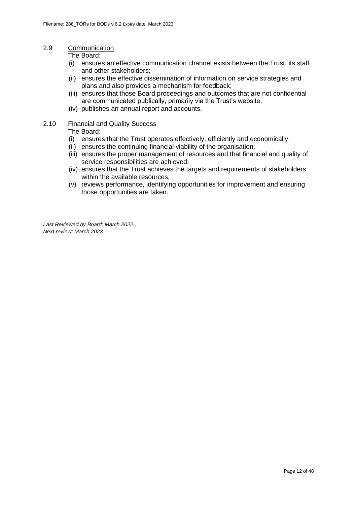#### 2.9 Communication

The Board:

- (i) ensures an effective communication channel exists between the Trust, its staff and other stakeholders;
- (ii) ensures the effective dissemination of information on service strategies and plans and also provides a mechanism for feedback;
- (iii) ensures that those Board proceedings and outcomes that are not confidential are communicated publically, primarily via the Trust's website;
- (iv) publishes an annual report and accounts.

#### 2.10 Financial and Quality Success

The Board:

- (i) ensures that the Trust operates effectively, efficiently and economically;
- (ii) ensures the continuing financial viability of the organisation;
- (iii) ensures the proper management of resources and that financial and quality of service responsibilities are achieved;
- (iv) ensures that the Trust achieves the targets and requirements of stakeholders within the available resources:
- (v) reviews performance, identifying opportunities for improvement and ensuring those opportunities are taken.

*Last Reviewed by Board: March 2022 Next review: March 2023*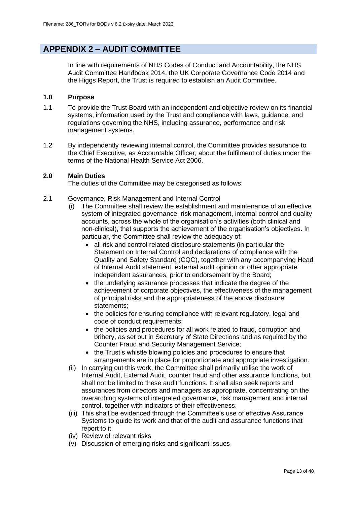## **APPENDIX 2 – AUDIT COMMITTEE**

In line with requirements of NHS Codes of Conduct and Accountability, the NHS Audit Committee Handbook 2014, the UK Corporate Governance Code 2014 and the Higgs Report, the Trust is required to establish an Audit Committee.

#### **1.0 Purpose**

- 1.1 To provide the Trust Board with an independent and objective review on its financial systems, information used by the Trust and compliance with laws, guidance, and regulations governing the NHS, including assurance, performance and risk management systems.
- 1.2 By independently reviewing internal control, the Committee provides assurance to the Chief Executive, as Accountable Officer, about the fulfilment of duties under the terms of the National Health Service Act 2006.

#### **2.0 Main Duties**

The duties of the Committee may be categorised as follows:

- 2.1 Governance, Risk Management and Internal Control
	- (i) The Committee shall review the establishment and maintenance of an effective system of integrated governance, risk management, internal control and quality accounts, across the whole of the organisation's activities (both clinical and non-clinical), that supports the achievement of the organisation's objectives. In particular, the Committee shall review the adequacy of:
		- all risk and control related disclosure statements (in particular the Statement on Internal Control and declarations of compliance with the Quality and Safety Standard (CQC), together with any accompanying Head of Internal Audit statement, external audit opinion or other appropriate independent assurances, prior to endorsement by the Board;
		- the underlying assurance processes that indicate the degree of the achievement of corporate objectives, the effectiveness of the management of principal risks and the appropriateness of the above disclosure statements;
		- the policies for ensuring compliance with relevant regulatory, legal and code of conduct requirements;
		- the policies and procedures for all work related to fraud, corruption and bribery, as set out in Secretary of State Directions and as required by the Counter Fraud and Security Management Service;
		- the Trust's whistle blowing policies and procedures to ensure that arrangements are in place for proportionate and appropriate investigation.
	- (ii) In carrying out this work, the Committee shall primarily utilise the work of Internal Audit, External Audit, counter fraud and other assurance functions, but shall not be limited to these audit functions. It shall also seek reports and assurances from directors and managers as appropriate, concentrating on the overarching systems of integrated governance, risk management and internal control, together with indicators of their effectiveness.
	- (iii) This shall be evidenced through the Committee's use of effective Assurance Systems to guide its work and that of the audit and assurance functions that report to it.
	- (iv) Review of relevant risks
	- (v) Discussion of emerging risks and significant issues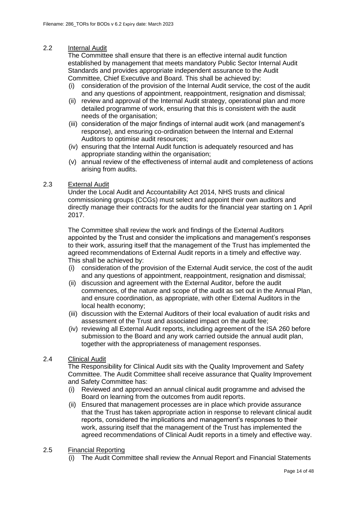#### 2.2 Internal Audit

The Committee shall ensure that there is an effective internal audit function established by management that meets mandatory Public Sector Internal Audit Standards and provides appropriate independent assurance to the Audit Committee, Chief Executive and Board. This shall be achieved by:

- (i) consideration of the provision of the Internal Audit service, the cost of the audit and any questions of appointment, reappointment, resignation and dismissal;
- (ii) review and approval of the Internal Audit strategy, operational plan and more detailed programme of work, ensuring that this is consistent with the audit needs of the organisation;
- (iii) consideration of the major findings of internal audit work (and management's response), and ensuring co-ordination between the Internal and External Auditors to optimise audit resources;
- (iv) ensuring that the Internal Audit function is adequately resourced and has appropriate standing within the organisation;
- (v) annual review of the effectiveness of internal audit and completeness of actions arising from audits.

#### 2.3 External Audit

Under the Local Audit and Accountability Act 2014, NHS trusts and clinical commissioning groups (CCGs) must select and appoint their own auditors and directly manage their contracts for the audits for the financial year starting on 1 April 2017.

The Committee shall review the work and findings of the External Auditors appointed by the Trust and consider the implications and management's responses to their work, assuring itself that the management of the Trust has implemented the agreed recommendations of External Audit reports in a timely and effective way. This shall be achieved by:

- (i) consideration of the provision of the External Audit service, the cost of the audit and any questions of appointment, reappointment, resignation and dismissal;
- (ii) discussion and agreement with the External Auditor, before the audit commences, of the nature and scope of the audit as set out in the Annual Plan, and ensure coordination, as appropriate, with other External Auditors in the local health economy;
- (iii) discussion with the External Auditors of their local evaluation of audit risks and assessment of the Trust and associated impact on the audit fee;
- (iv) reviewing all External Audit reports, including agreement of the ISA 260 before submission to the Board and any work carried outside the annual audit plan, together with the appropriateness of management responses.

#### 2.4 Clinical Audit

The Responsibility for Clinical Audit sits with the Quality Improvement and Safety Committee. The Audit Committee shall receive assurance that Quality Improvement and Safety Committee has:

- (i) Reviewed and approved an annual clinical audit programme and advised the Board on learning from the outcomes from audit reports.
- (ii) Ensured that management processes are in place which provide assurance that the Trust has taken appropriate action in response to relevant clinical audit reports, considered the implications and management's responses to their work, assuring itself that the management of the Trust has implemented the agreed recommendations of Clinical Audit reports in a timely and effective way.

#### 2.5 Financial Reporting

(i) The Audit Committee shall review the Annual Report and Financial Statements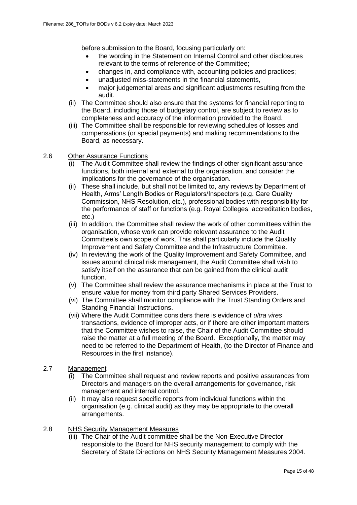before submission to the Board, focusing particularly on:

- the wording in the Statement on Internal Control and other disclosures relevant to the terms of reference of the Committee;
- changes in, and compliance with, accounting policies and practices:
- unadjusted miss-statements in the financial statements,
- major judgemental areas and significant adjustments resulting from the audit.
- (ii) The Committee should also ensure that the systems for financial reporting to the Board, including those of budgetary control, are subject to review as to completeness and accuracy of the information provided to the Board.
- (iii) The Committee shall be responsible for reviewing schedules of losses and compensations (or special payments) and making recommendations to the Board, as necessary.

#### 2.6 Other Assurance Functions

- (i) The Audit Committee shall review the findings of other significant assurance functions, both internal and external to the organisation, and consider the implications for the governance of the organisation.
- (ii) These shall include, but shall not be limited to, any reviews by Department of Health, Arms' Length Bodies or Regulators/Inspectors (e.g. Care Quality Commission, NHS Resolution, etc.), professional bodies with responsibility for the performance of staff or functions (e.g. Royal Colleges, accreditation bodies, etc.)
- (iii) In addition, the Committee shall review the work of other committees within the organisation, whose work can provide relevant assurance to the Audit Committee's own scope of work. This shall particularly include the Quality Improvement and Safety Committee and the Infrastructure Committee.
- (iv) In reviewing the work of the Quality Improvement and Safety Committee, and issues around clinical risk management, the Audit Committee shall wish to satisfy itself on the assurance that can be gained from the clinical audit function.
- (v) The Committee shall review the assurance mechanisms in place at the Trust to ensure value for money from third party Shared Services Providers.
- (vi) The Committee shall monitor compliance with the Trust Standing Orders and Standing Financial Instructions.
- (vii) Where the Audit Committee considers there is evidence of *ultra vires* transactions, evidence of improper acts, or if there are other important matters that the Committee wishes to raise, the Chair of the Audit Committee should raise the matter at a full meeting of the Board. Exceptionally, the matter may need to be referred to the Department of Health, (to the Director of Finance and Resources in the first instance).

#### 2.7 Management

- (i) The Committee shall request and review reports and positive assurances from Directors and managers on the overall arrangements for governance, risk management and internal control.
- (ii) It may also request specific reports from individual functions within the organisation (e.g. clinical audit) as they may be appropriate to the overall arrangements.

#### 2.8 NHS Security Management Measures

(iii) The Chair of the Audit committee shall be the Non-Executive Director responsible to the Board for NHS security management to comply with the Secretary of State Directions on NHS Security Management Measures 2004.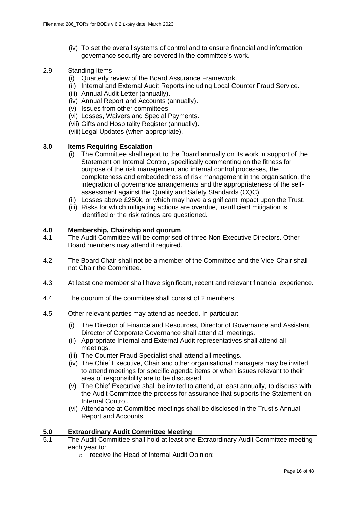(iv) To set the overall systems of control and to ensure financial and information governance security are covered in the committee's work.

### 2.9 Standing Items

- (i) Quarterly review of the Board Assurance Framework.
- (ii) Internal and External Audit Reports including Local Counter Fraud Service.
- (iii) Annual Audit Letter (annually).
- (iv) Annual Report and Accounts (annually).
- (v) Issues from other committees.
- (vi) Losses, Waivers and Special Payments.
- (vii) Gifts and Hospitality Register (annually).
- (viii)Legal Updates (when appropriate).

#### **3.0 Items Requiring Escalation**

- (i) The Committee shall report to the Board annually on its work in support of the Statement on Internal Control, specifically commenting on the fitness for purpose of the risk management and internal control processes, the completeness and embeddedness of risk management in the organisation, the integration of governance arrangements and the appropriateness of the selfassessment against the Quality and Safety Standards (CQC).
- (ii) Losses above £250k, or which may have a significant impact upon the Trust.
- (iii) Risks for which mitigating actions are overdue, insufficient mitigation is identified or the risk ratings are questioned.

#### **4.0 Membership, Chairship and quorum**

- 4.1 The Audit Committee will be comprised of three Non-Executive Directors. Other Board members may attend if required.
- 4.2 The Board Chair shall not be a member of the Committee and the Vice-Chair shall not Chair the Committee.
- 4.3 At least one member shall have significant, recent and relevant financial experience.
- 4.4 The quorum of the committee shall consist of 2 members.
- 4.5 Other relevant parties may attend as needed. In particular:
	- (i) The Director of Finance and Resources, Director of Governance and Assistant Director of Corporate Governance shall attend all meetings.
	- (ii) Appropriate Internal and External Audit representatives shall attend all meetings.
	- (iii) The Counter Fraud Specialist shall attend all meetings.
	- (iv) The Chief Executive, Chair and other organisational managers may be invited to attend meetings for specific agenda items or when issues relevant to their area of responsibility are to be discussed.
	- (v) The Chief Executive shall be invited to attend, at least annually, to discuss with the Audit Committee the process for assurance that supports the Statement on Internal Control.
	- (vi) Attendance at Committee meetings shall be disclosed in the Trust's Annual Report and Accounts.

| 5.0 | <b>Extraordinary Audit Committee Meeting</b>                                      |
|-----|-----------------------------------------------------------------------------------|
| 5.1 | The Audit Committee shall hold at least one Extraordinary Audit Committee meeting |
|     | each year to:                                                                     |
|     | receive the Head of Internal Audit Opinion;                                       |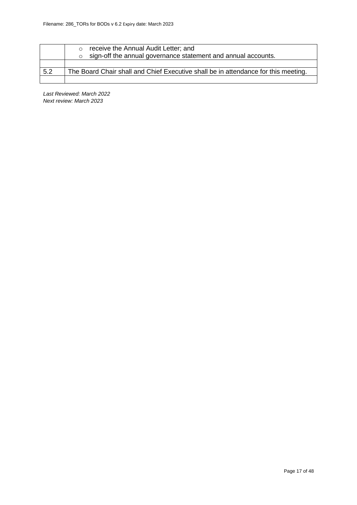|     | receive the Annual Audit Letter; and<br>$\circ$<br>sign-off the annual governance statement and annual accounts.<br>$\circ$ |
|-----|-----------------------------------------------------------------------------------------------------------------------------|
|     |                                                                                                                             |
| 5.2 | The Board Chair shall and Chief Executive shall be in attendance for this meeting.                                          |
|     |                                                                                                                             |

*Last Reviewed: March 2022 Next review: March 2023*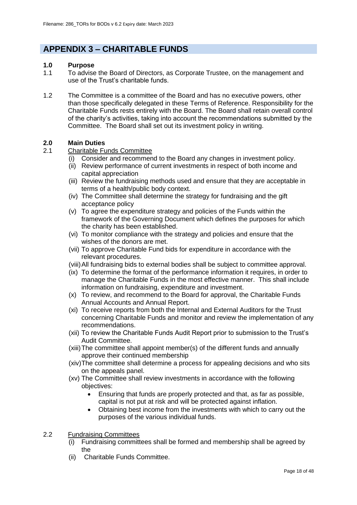## **APPENDIX 3 – CHARITABLE FUNDS**

#### **1.0 Purpose**

- 1.1 To advise the Board of Directors, as Corporate Trustee, on the management and use of the Trust's charitable funds.
- 1.2 The Committee is a committee of the Board and has no executive powers, other than those specifically delegated in these Terms of Reference. Responsibility for the Charitable Funds rests entirely with the Board. The Board shall retain overall control of the charity's activities, taking into account the recommendations submitted by the Committee. The Board shall set out its investment policy in writing.

#### **2.0 Main Duties**

#### 2.1 Charitable Funds Committee

- (i) Consider and recommend to the Board any changes in investment policy.
- (ii) Review performance of current investments in respect of both income and capital appreciation
- (iii) Review the fundraising methods used and ensure that they are acceptable in terms of a health/public body context.
- (iv) The Committee shall determine the strategy for fundraising and the gift acceptance policy
- (v) To agree the expenditure strategy and policies of the Funds within the framework of the Governing Document which defines the purposes for which the charity has been established.
- (vi) To monitor compliance with the strategy and policies and ensure that the wishes of the donors are met.
- (vii) To approve Charitable Fund bids for expenditure in accordance with the relevant procedures.
- (viii)All fundraising bids to external bodies shall be subject to committee approval.
- (ix) To determine the format of the performance information it requires, in order to manage the Charitable Funds in the most effective manner. This shall include information on fundraising, expenditure and investment.
- (x) To review, and recommend to the Board for approval, the Charitable Funds Annual Accounts and Annual Report.
- (xi) To receive reports from both the Internal and External Auditors for the Trust concerning Charitable Funds and monitor and review the implementation of any recommendations.
- (xii) To review the Charitable Funds Audit Report prior to submission to the Trust's Audit Committee.
- (xiii)The committee shall appoint member(s) of the different funds and annually approve their continued membership
- (xiv)The committee shall determine a process for appealing decisions and who sits on the appeals panel.
- (xv) The Committee shall review investments in accordance with the following objectives:
	- Ensuring that funds are properly protected and that, as far as possible, capital is not put at risk and will be protected against inflation.
	- Obtaining best income from the investments with which to carry out the purposes of the various individual funds.

#### 2.2 Fundraising Committees

- (i) Fundraising committees shall be formed and membership shall be agreed by the
- (ii) Charitable Funds Committee.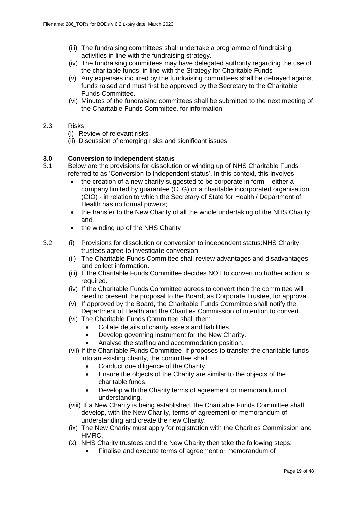- (iii) The fundraising committees shall undertake a programme of fundraising activities in line with the fundraising strategy.
- (iv) The fundraising committees may have delegated authority regarding the use of the charitable funds, in line with the Strategy for Charitable Funds
- (v) Any expenses incurred by the fundraising committees shall be defrayed against funds raised and must first be approved by the Secretary to the Charitable Funds Committee.
- (vi) Minutes of the fundraising committees shall be submitted to the next meeting of the Charitable Funds Committee, for information.

#### 2.3 Risks

- (i) Review of relevant risks
- (ii) Discussion of emerging risks and significant issues

#### **3.0 Conversion to independent status**

- 3.1 Below are the provisions for dissolution or winding up of NHS Charitable Funds referred to as 'Conversion to independent status'. In this context, this involves:
	- the creation of a new charity suggested to be corporate in form either a company limited by guarantee (CLG) or a charitable incorporated organisation (CIO) - in relation to which the Secretary of State for Health / Department of Health has no formal powers;
	- the transfer to the New Charity of all the whole undertaking of the NHS Charity; and
	- the winding up of the NHS Charity
- 3.2 (i) Provisions for dissolution or conversion to independent status:NHS Charity trustees agree to investigate conversion.
	- (ii) The Charitable Funds Committee shall review advantages and disadvantages and collect information.
	- (iii) If the Charitable Funds Committee decides NOT to convert no further action is required.
	- (iv) If the Charitable Funds Committee agrees to convert then the committee will need to present the proposal to the Board, as Corporate Trustee, for approval.
	- (v) If approved by the Board, the Charitable Funds Committee shall notify the Department of Health and the Charities Commission of intention to convert.
	- (vi) The Charitable Funds Committee shall then:
		- Collate details of charity assets and liabilities.
		- Develop governing instrument for the New Charity.
		- Analyse the staffing and accommodation position.
	- (vii) If the Charitable Funds Committee if proposes to transfer the charitable funds into an existing charity, the committee shall:
		- Conduct due diligence of the Charity.
		- Ensure the objects of the Charity are similar to the objects of the charitable funds.
		- Develop with the Charity terms of agreement or memorandum of understanding.
	- (viii) If a New Charity is being established, the Charitable Funds Committee shall develop, with the New Charity, terms of agreement or memorandum of understanding and create the new Charity.
	- (ix) The New Charity must apply for registration with the Charities Commission and HMRC.
	- (x) NHS Charity trustees and the New Charity then take the following steps:
		- Finalise and execute terms of agreement or memorandum of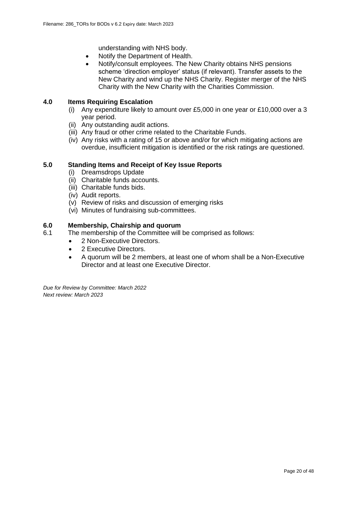understanding with NHS body.

- Notify the Department of Health.
- Notify/consult employees. The New Charity obtains NHS pensions scheme 'direction employer' status (if relevant). Transfer assets to the New Charity and wind up the NHS Charity. Register merger of the NHS Charity with the New Charity with the Charities Commission.

#### **4.0 Items Requiring Escalation**

- (i) Any expenditure likely to amount over £5,000 in one year or £10,000 over a 3 year period.
- (ii) Any outstanding audit actions.
- (iii) Any fraud or other crime related to the Charitable Funds.
- (iv) Any risks with a rating of 15 or above and/or for which mitigating actions are overdue, insufficient mitigation is identified or the risk ratings are questioned.

#### **5.0 Standing Items and Receipt of Key Issue Reports**

- (i) Dreamsdrops Update
- (ii) Charitable funds accounts.
- (iii) Charitable funds bids.
- (iv) Audit reports.
- (v) Review of risks and discussion of emerging risks
- (vi) Minutes of fundraising sub-committees.

#### **6.0 Membership, Chairship and quorum**

- 6.1 The membership of the Committee will be comprised as follows:
	- 2 Non-Executive Directors.
	- 2 Executive Directors.
	- A quorum will be 2 members, at least one of whom shall be a Non-Executive Director and at least one Executive Director.

*Due for Review by Committee: March 2022 Next review: March 2023*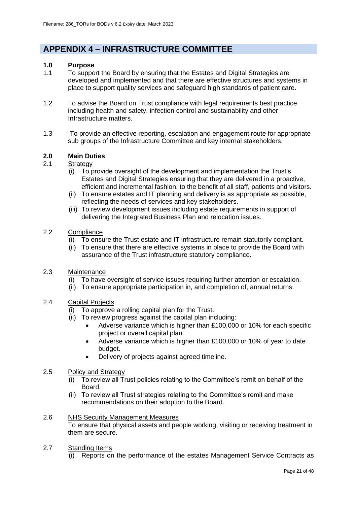## **APPENDIX 4 – INFRASTRUCTURE COMMITTEE**

#### **1.0 Purpose**

- 1.1 To support the Board by ensuring that the Estates and Digital Strategies are developed and implemented and that there are effective structures and systems in place to support quality services and safeguard high standards of patient care.
- 1.2 To advise the Board on Trust compliance with legal requirements best practice including health and safety, infection control and sustainability and other Infrastructure matters.
- 1.3 To provide an effective reporting, escalation and engagement route for appropriate sub groups of the Infrastructure Committee and key internal stakeholders.

#### **2.0 Main Duties**

- 2.1 Strategy
	- (i) To provide oversight of the development and implementation the Trust's Estates and Digital Strategies ensuring that they are delivered in a proactive, efficient and incremental fashion, to the benefit of all staff, patients and visitors.
	- (ii) To ensure estates and IT planning and delivery is as appropriate as possible, reflecting the needs of services and key stakeholders.
	- (iii) To review development issues including estate requirements in support of delivering the Integrated Business Plan and relocation issues.
- 2.2 Compliance
	- (i) To ensure the Trust estate and IT infrastructure remain statutorily compliant.
	- (ii) To ensure that there are effective systems in place to provide the Board with assurance of the Trust infrastructure statutory compliance.
- 2.3 Maintenance
	- (i) To have oversight of service issues requiring further attention or escalation.
	- (ii) To ensure appropriate participation in, and completion of, annual returns.
- 2.4 Capital Projects
	- (i) To approve a rolling capital plan for the Trust.
	- (ii) To review progress against the capital plan including:
		- Adverse variance which is higher than £100,000 or 10% for each specific project or overall capital plan.
		- Adverse variance which is higher than £100,000 or 10% of year to date budget.
		- Delivery of projects against agreed timeline.
- 2.5 Policy and Strategy
	- $(i)$  To review all Trust policies relating to the Committee's remit on behalf of the Board.
	- (ii) To review all Trust strategies relating to the Committee's remit and make recommendations on their adoption to the Board.

#### 2.6 NHS Security Management Measures

To ensure that physical assets and people working, visiting or receiving treatment in them are secure.

#### 2.7 Standing Items

(i) Reports on the performance of the estates Management Service Contracts as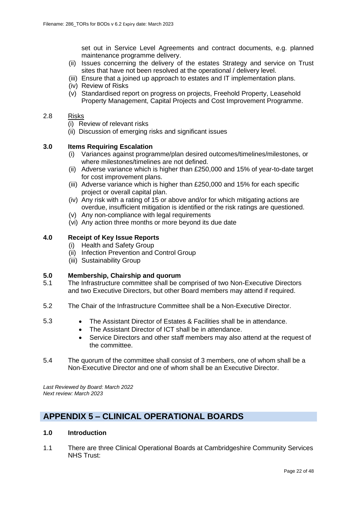set out in Service Level Agreements and contract documents, e.g. planned maintenance programme delivery.

- (ii) Issues concerning the delivery of the estates Strategy and service on Trust sites that have not been resolved at the operational / delivery level.
- (iii) Ensure that a joined up approach to estates and IT implementation plans.
- (iv) Review of Risks
- (v) Standardised report on progress on projects, Freehold Property, Leasehold Property Management, Capital Projects and Cost Improvement Programme.

#### 2.8 Risks

(i) Review of relevant risks

(ii) Discussion of emerging risks and significant issues

#### **3.0 Items Requiring Escalation**

- (i) Variances against programme/plan desired outcomes/timelines/milestones, or where milestones/timelines are not defined.
- (ii) Adverse variance which is higher than £250,000 and 15% of year-to-date target for cost improvement plans.
- (iii) Adverse variance which is higher than £250,000 and 15% for each specific project or overall capital plan.
- (iv) Any risk with a rating of 15 or above and/or for which mitigating actions are overdue, insufficient mitigation is identified or the risk ratings are questioned.
- (v) Any non-compliance with legal requirements
- (vi) Any action three months or more beyond its due date

#### **4.0 Receipt of Key Issue Reports**

- (i) Health and Safety Group
- (ii) Infection Prevention and Control Group
- (iii) Sustainability Group

#### **5.0 Membership, Chairship and quorum**

- 5.1 The Infrastructure committee shall be comprised of two Non-Executive Directors and two Executive Directors, but other Board members may attend if required.
- 5.2 The Chair of the Infrastructure Committee shall be a Non-Executive Director.
- 5.3 The Assistant Director of Estates & Facilities shall be in attendance.
	- The Assistant Director of ICT shall be in attendance.
	- Service Directors and other staff members may also attend at the request of the committee.
- 5.4 The quorum of the committee shall consist of 3 members, one of whom shall be a Non-Executive Director and one of whom shall be an Executive Director.

*Last Reviewed by Board: March 2022 Next review: March 2023*

## **APPENDIX 5 – CLINICAL OPERATIONAL BOARDS**

#### **1.0 Introduction**

1.1 There are three Clinical Operational Boards at Cambridgeshire Community Services NHS Trust: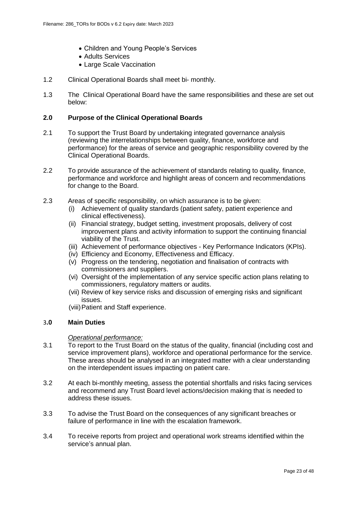- Children and Young People's Services
- Adults Services
- Large Scale Vaccination
- 1.2 Clinical Operational Boards shall meet bi- monthly.
- 1.3 The Clinical Operational Board have the same responsibilities and these are set out below:

#### **2.0 Purpose of the Clinical Operational Boards**

- 2.1 To support the Trust Board by undertaking integrated governance analysis (reviewing the interrelationships between quality, finance, workforce and performance) for the areas of service and geographic responsibility covered by the Clinical Operational Boards.
- 2.2 To provide assurance of the achievement of standards relating to quality, finance, performance and workforce and highlight areas of concern and recommendations for change to the Board.
- 2.3 Areas of specific responsibility, on which assurance is to be given:
	- Achievement of quality standards (patient safety, patient experience and clinical effectiveness).
	- (ii) Financial strategy, budget setting, investment proposals, delivery of cost improvement plans and activity information to support the continuing financial viability of the Trust.
	- (iii) Achievement of performance objectives Key Performance Indicators (KPIs).
	- (iv) Efficiency and Economy, Effectiveness and Efficacy.
	- (v) Progress on the tendering, negotiation and finalisation of contracts with commissioners and suppliers.
	- (vi) Oversight of the implementation of any service specific action plans relating to commissioners, regulatory matters or audits.
	- (vii) Review of key service risks and discussion of emerging risks and significant issues.
	- (viii)Patient and Staff experience.

#### 3**.0 Main Duties**

#### *Operational performance:*

- 3.1 To report to the Trust Board on the status of the quality, financial (including cost and service improvement plans), workforce and operational performance for the service. These areas should be analysed in an integrated matter with a clear understanding on the interdependent issues impacting on patient care.
- 3.2 At each bi-monthly meeting, assess the potential shortfalls and risks facing services and recommend any Trust Board level actions/decision making that is needed to address these issues.
- 3.3 To advise the Trust Board on the consequences of any significant breaches or failure of performance in line with the escalation framework.
- 3.4 To receive reports from project and operational work streams identified within the service's annual plan.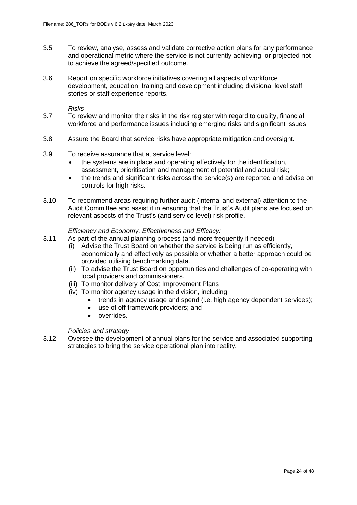- 3.5 To review, analyse, assess and validate corrective action plans for any performance and operational metric where the service is not currently achieving, or projected not to achieve the agreed/specified outcome.
- 3.6 Report on specific workforce initiatives covering all aspects of workforce development, education, training and development including divisional level staff stories or staff experience reports.

#### *Risks*

- 3.7 To review and monitor the risks in the risk register with regard to quality, financial, workforce and performance issues including emerging risks and significant issues.
- 3.8 Assure the Board that service risks have appropriate mitigation and oversight.
- 3.9 To receive assurance that at service level:
	- the systems are in place and operating effectively for the identification, assessment, prioritisation and management of potential and actual risk;
	- the trends and significant risks across the service(s) are reported and advise on controls for high risks.
- 3.10 To recommend areas requiring further audit (internal and external) attention to the Audit Committee and assist it in ensuring that the Trust's Audit plans are focused on relevant aspects of the Trust's (and service level) risk profile.

#### *Efficiency and Economy, Effectiveness and Efficacy:*

- 3.11 As part of the annual planning process (and more frequently if needed)
	- (i) Advise the Trust Board on whether the service is being run as efficiently, economically and effectively as possible or whether a better approach could be provided utilising benchmarking data.
	- (ii) To advise the Trust Board on opportunities and challenges of co-operating with local providers and commissioners.
	- (iii) To monitor delivery of Cost Improvement Plans
	- (iv) To monitor agency usage in the division, including:
		- trends in agency usage and spend (i.e. high agency dependent services);
		- use of off framework providers; and
		- overrides.

#### *Policies and strategy*

3.12 Oversee the development of annual plans for the service and associated supporting strategies to bring the service operational plan into reality.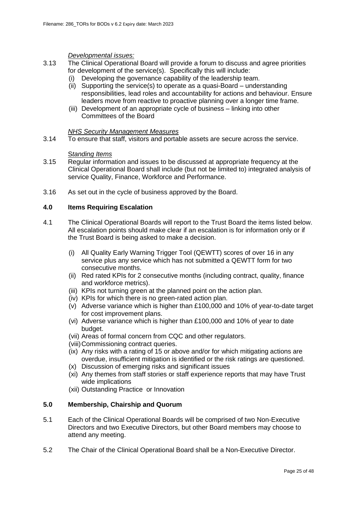#### *Developmental issues:*

- 3.13 The Clinical Operational Board will provide a forum to discuss and agree priorities for development of the service(s). Specifically this will include:
	- (i) Developing the governance capability of the leadership team.
	- (ii) Supporting the service(s) to operate as a quasi-Board understanding responsibilities, lead roles and accountability for actions and behaviour. Ensure leaders move from reactive to proactive planning over a longer time frame.
	- (iii) Development of an appropriate cycle of business linking into other Committees of the Board

#### *NHS Security Management Measures*

3.14 To ensure that staff, visitors and portable assets are secure across the service.

#### S*tanding Items*

- 3.15 Regular information and issues to be discussed at appropriate frequency at the Clinical Operational Board shall include (but not be limited to) integrated analysis of service Quality, Finance, Workforce and Performance.
- 3.16 As set out in the cycle of business approved by the Board.

#### **4.0 Items Requiring Escalation**

- 4.1 The Clinical Operational Boards will report to the Trust Board the items listed below. All escalation points should make clear if an escalation is for information only or if the Trust Board is being asked to make a decision.
	- (i) All Quality Early Warning Trigger Tool (QEWTT) scores of over 16 in any service plus any service which has not submitted a QEWTT form for two consecutive months.
	- (ii) Red rated KPIs for 2 consecutive months (including contract, quality, finance and workforce metrics).
	- (iii) KPIs not turning green at the planned point on the action plan.
	- (iv) KPIs for which there is no green-rated action plan.
	- (v) Adverse variance which is higher than £100,000 and 10% of year-to-date target for cost improvement plans.
	- (vi) Adverse variance which is higher than £100,000 and 10% of year to date budget.
	- (vii) Areas of formal concern from CQC and other regulators.
	- (viii)Commissioning contract queries.
	- (ix) Any risks with a rating of 15 or above and/or for which mitigating actions are overdue, insufficient mitigation is identified or the risk ratings are questioned.
	- (x) Discussion of emerging risks and significant issues
	- (xi) Any themes from staff stories or staff experience reports that may have Trust wide implications
	- (xii) Outstanding Practice or Innovation

#### **5.0 Membership, Chairship and Quorum**

- 5.1 Each of the Clinical Operational Boards will be comprised of two Non-Executive Directors and two Executive Directors, but other Board members may choose to attend any meeting.
- 5.2 The Chair of the Clinical Operational Board shall be a Non-Executive Director.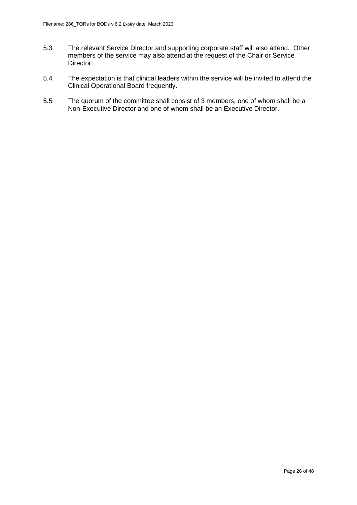- 5.3 The relevant Service Director and supporting corporate staff will also attend. Other members of the service may also attend at the request of the Chair or Service Director.
- 5.4 The expectation is that clinical leaders within the service will be invited to attend the Clinical Operational Board frequently.
- 5.5 The quorum of the committee shall consist of 3 members, one of whom shall be a Non-Executive Director and one of whom shall be an Executive Director.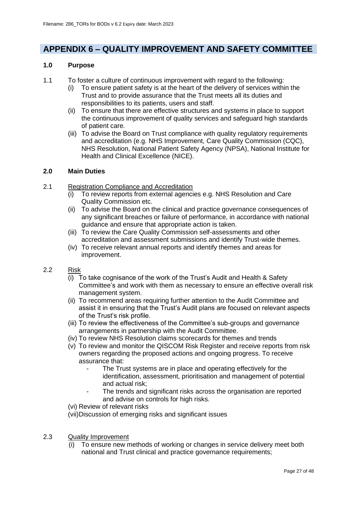## **APPENDIX 6 – QUALITY IMPROVEMENT AND SAFETY COMMITTEE**

#### **1.0 Purpose**

- 1.1 To foster a culture of continuous improvement with regard to the following:
	- (i) To ensure patient safety is at the heart of the delivery of services within the Trust and to provide assurance that the Trust meets all its duties and responsibilities to its patients, users and staff.
	- (ii) To ensure that there are effective structures and systems in place to support the continuous improvement of quality services and safeguard high standards of patient care.
	- (iii) To advise the Board on Trust compliance with quality regulatory requirements and accreditation (e.g. NHS Improvement, Care Quality Commission (CQC), NHS Resolution, National Patient Safety Agency (NPSA), National Institute for Health and Clinical Excellence (NICE).

#### **2.0 Main Duties**

- 2.1 Registration Compliance and Accreditation
	- To review reports from external agencies e.g. NHS Resolution and Care Quality Commission etc.
	- (ii) To advise the Board on the clinical and practice governance consequences of any significant breaches or failure of performance, in accordance with national guidance and ensure that appropriate action is taken.
	- (iii) To review the Care Quality Commission self-assessments and other accreditation and assessment submissions and identify Trust-wide themes.
	- (iv) To receive relevant annual reports and identify themes and areas for improvement.
- 2.2 Risk
	- (i) To take cognisance of the work of the Trust's Audit and Health & Safety Committee's and work with them as necessary to ensure an effective overall risk management system.
	- (ii) To recommend areas requiring further attention to the Audit Committee and assist it in ensuring that the Trust's Audit plans are focused on relevant aspects of the Trust's risk profile.
	- (iii) To review the effectiveness of the Committee's sub-groups and governance arrangements in partnership with the Audit Committee.
	- (iv) To review NHS Resolution claims scorecards for themes and trends
	- (v) To review and monitor the QISCOM Risk Register and receive reports from risk owners regarding the proposed actions and ongoing progress. To receive assurance that:
		- The Trust systems are in place and operating effectively for the identification, assessment, prioritisation and management of potential and actual risk;
		- The trends and significant risks across the organisation are reported and advise on controls for high risks.
	- (vi) Review of relevant risks
	- (vii)Discussion of emerging risks and significant issues
- 2.3 Quality Improvement
	- (i) To ensure new methods of working or changes in service delivery meet both national and Trust clinical and practice governance requirements;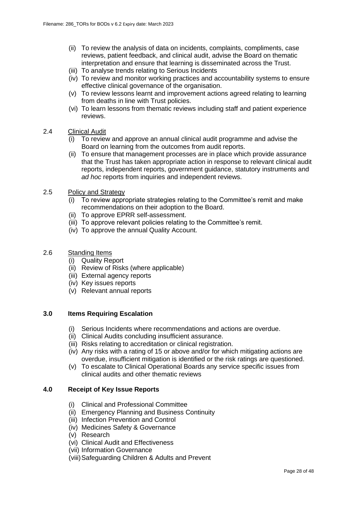- (ii) To review the analysis of data on incidents, complaints, compliments, case reviews, patient feedback, and clinical audit, advise the Board on thematic interpretation and ensure that learning is disseminated across the Trust.
- (iii) To analyse trends relating to Serious Incidents
- (iv) To review and monitor working practices and accountability systems to ensure effective clinical governance of the organisation.
- (v) To review lessons learnt and improvement actions agreed relating to learning from deaths in line with Trust policies.
- (vi) To learn lessons from thematic reviews including staff and patient experience reviews.
- 2.4 Clinical Audit
	- To review and approve an annual clinical audit programme and advise the Board on learning from the outcomes from audit reports.
	- (ii) To ensure that management processes are in place which provide assurance that the Trust has taken appropriate action in response to relevant clinical audit reports, independent reports, government guidance, statutory instruments and *ad hoc* reports from inquiries and independent reviews.
- 2.5 Policy and Strategy
	- (i) To review appropriate strategies relating to the Committee's remit and make recommendations on their adoption to the Board.
	- (ii) To approve EPRR self-assessment.
	- (iii) To approve relevant policies relating to the Committee's remit.
	- (iv) To approve the annual Quality Account.
- 2.6 Standing Items
	- (i) Quality Report
	- (ii) Review of Risks (where applicable)
	- (iii) External agency reports
	- (iv) Key issues reports
	- (v) Relevant annual reports

#### **3.0 Items Requiring Escalation**

- (i) Serious Incidents where recommendations and actions are overdue.
- (ii) Clinical Audits concluding insufficient assurance.
- (iii) Risks relating to accreditation or clinical registration.
- (iv) Any risks with a rating of 15 or above and/or for which mitigating actions are overdue, insufficient mitigation is identified or the risk ratings are questioned.
- (v) To escalate to Clinical Operational Boards any service specific issues from clinical audits and other thematic reviews

#### **4.0 Receipt of Key Issue Reports**

- (i) Clinical and Professional Committee
- (ii) Emergency Planning and Business Continuity
- (iii) Infection Prevention and Control
- (iv) Medicines Safety & Governance
- (v) Research
- (vi) Clinical Audit and Effectiveness
- (vii) Information Governance
- (viii)Safeguarding Children & Adults and Prevent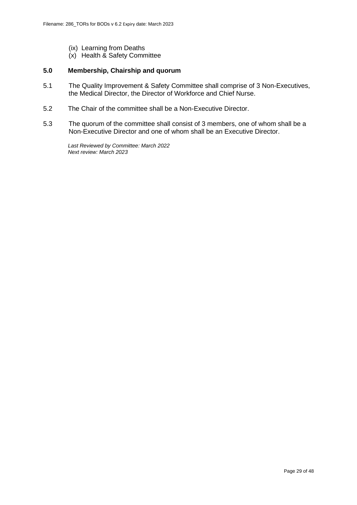- (ix) Learning from Deaths
- (x) Health & Safety Committee

#### **5.0 Membership, Chairship and quorum**

- 5.1 The Quality Improvement & Safety Committee shall comprise of 3 Non-Executives, the Medical Director, the Director of Workforce and Chief Nurse.
- 5.2 The Chair of the committee shall be a Non-Executive Director.
- 5.3 The quorum of the committee shall consist of 3 members, one of whom shall be a Non-Executive Director and one of whom shall be an Executive Director.

*Last Reviewed by Committee: March 2022 Next review: March 2023*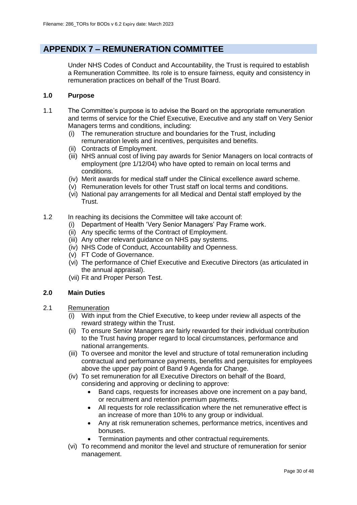## **APPENDIX 7 – REMUNERATION COMMITTEE**

Under NHS Codes of Conduct and Accountability, the Trust is required to establish a Remuneration Committee. Its role is to ensure fairness, equity and consistency in remuneration practices on behalf of the Trust Board.

#### **1.0 Purpose**

- 1.1 The Committee's purpose is to advise the Board on the appropriate remuneration and terms of service for the Chief Executive, Executive and any staff on Very Senior Managers terms and conditions, including:
	- (i) The remuneration structure and boundaries for the Trust, including remuneration levels and incentives, perquisites and benefits.
	- (ii) Contracts of Employment.
	- (iii) NHS annual cost of living pay awards for Senior Managers on local contracts of employment (pre 1/12/04) who have opted to remain on local terms and conditions.
	- (iv) Merit awards for medical staff under the Clinical excellence award scheme.
	- (v) Remuneration levels for other Trust staff on local terms and conditions.
	- (vi) National pay arrangements for all Medical and Dental staff employed by the Trust.
- 1.2 In reaching its decisions the Committee will take account of:
	- (i) Department of Health 'Very Senior Managers' Pay Frame work.
	- (ii) Any specific terms of the Contract of Employment.
	- (iii) Any other relevant guidance on NHS pay systems.
	- (iv) NHS Code of Conduct, Accountability and Openness.
	- (v) FT Code of Governance.
	- (vi) The performance of Chief Executive and Executive Directors (as articulated in the annual appraisal).
	- (vii) Fit and Proper Person Test.

#### **2.0 Main Duties**

- 2.1 Remuneration
	- (i) With input from the Chief Executive, to keep under review all aspects of the reward strategy within the Trust.
	- (ii) To ensure Senior Managers are fairly rewarded for their individual contribution to the Trust having proper regard to local circumstances, performance and national arrangements.
	- (iii) To oversee and monitor the level and structure of total remuneration including contractual and performance payments, benefits and perquisites for employees above the upper pay point of Band 9 Agenda for Change.
	- (iv) To set remuneration for all Executive Directors on behalf of the Board, considering and approving or declining to approve:
		- Band caps, requests for increases above one increment on a pay band, or recruitment and retention premium payments.
		- All requests for role reclassification where the net remunerative effect is an increase of more than 10% to any group or individual.
		- Any at risk remuneration schemes, performance metrics, incentives and bonuses.
		- Termination payments and other contractual requirements.
	- (vi) To recommend and monitor the level and structure of remuneration for senior management.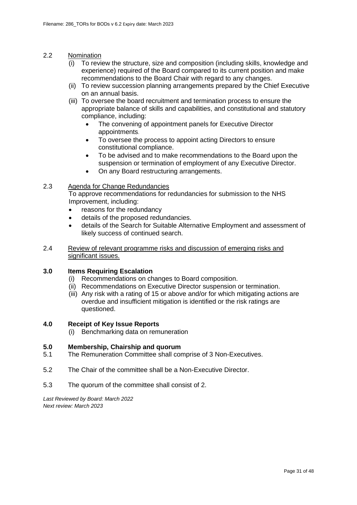#### 2.2 Nomination

- (i) To review the structure, size and composition (including skills, knowledge and experience) required of the Board compared to its current position and make recommendations to the Board Chair with regard to any changes.
- (ii) To review succession planning arrangements prepared by the Chief Executive on an annual basis.
- (iii) To oversee the board recruitment and termination process to ensure the appropriate balance of skills and capabilities, and constitutional and statutory compliance, including:
	- The convening of appointment panels for Executive Director appointments.
	- To oversee the process to appoint acting Directors to ensure constitutional compliance.
	- To be advised and to make recommendations to the Board upon the suspension or termination of employment of any Executive Director.
	- On any Board restructuring arrangements.

#### 2.3 Agenda for Change Redundancies

To approve recommendations for redundancies for submission to the NHS Improvement, including:

- reasons for the redundancy
- details of the proposed redundancies.
- details of the Search for Suitable Alternative Employment and assessment of likely success of continued search.

#### 2.4 Review of relevant programme risks and discussion of emerging risks and significant issues.

#### **3.0 Items Requiring Escalation**

- (i) Recommendations on changes to Board composition.
- (ii) Recommendations on Executive Director suspension or termination.
- (iii) Any risk with a rating of 15 or above and/or for which mitigating actions are overdue and insufficient mitigation is identified or the risk ratings are questioned.

#### **4.0 Receipt of Key Issue Reports**

(i) Benchmarking data on remuneration

#### **5.0 Membership, Chairship and quorum**

- 5.1 The Remuneration Committee shall comprise of 3 Non-Executives.
- 5.2 The Chair of the committee shall be a Non-Executive Director.
- 5.3 The quorum of the committee shall consist of 2.

*Last Reviewed by Board: March 2022 Next review: March 2023*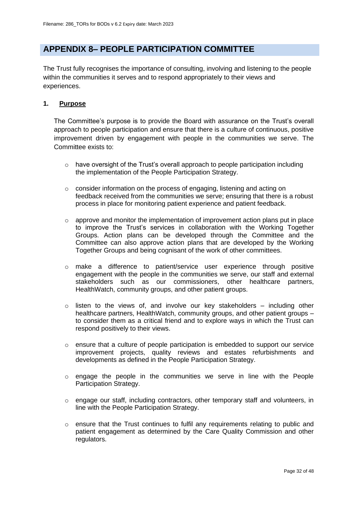## **APPENDIX 8– PEOPLE PARTICIPATION COMMITTEE**

The Trust fully recognises the importance of consulting, involving and listening to the people within the communities it serves and to respond appropriately to their views and experiences.

#### **1. Purpose**

The Committee's purpose is to provide the Board with assurance on the Trust's overall approach to people participation and ensure that there is a culture of continuous, positive improvement driven by engagement with people in the communities we serve. The Committee exists to:

- $\circ$  have oversight of the Trust's overall approach to people participation including the implementation of the People Participation Strategy.
- $\circ$  consider information on the process of engaging, listening and acting on feedback received from the communities we serve; ensuring that there is a robust process in place for monitoring patient experience and patient feedback.
- $\circ$  approve and monitor the implementation of improvement action plans put in place to improve the Trust's services in collaboration with the Working Together Groups. Action plans can be developed through the Committee and the Committee can also approve action plans that are developed by the Working Together Groups and being cognisant of the work of other committees.
- o make a difference to patient/service user experience through positive engagement with the people in the communities we serve, our staff and external stakeholders such as our commissioners, other healthcare partners, HealthWatch, community groups, and other patient groups.
- $\circ$  listen to the views of, and involve our key stakeholders including other healthcare partners, HealthWatch, community groups, and other patient groups – to consider them as a critical friend and to explore ways in which the Trust can respond positively to their views.
- $\circ$  ensure that a culture of people participation is embedded to support our service improvement projects, quality reviews and estates refurbishments and developments as defined in the People Participation Strategy.
- o engage the people in the communities we serve in line with the People Participation Strategy.
- $\circ$  engage our staff, including contractors, other temporary staff and volunteers, in line with the People Participation Strategy.
- $\circ$  ensure that the Trust continues to fulfil any requirements relating to public and patient engagement as determined by the Care Quality Commission and other regulators.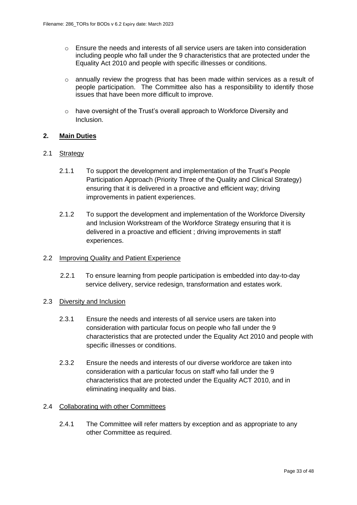- $\circ$  Ensure the needs and interests of all service users are taken into consideration including people who fall under the 9 characteristics that are protected under the Equality Act 2010 and people with specific illnesses or conditions.
- o annually review the progress that has been made within services as a result of people participation. The Committee also has a responsibility to identify those issues that have been more difficult to improve.
- o have oversight of the Trust's overall approach to Workforce Diversity and Inclusion.

#### **2. Main Duties**

#### 2.1 Strategy

- 2.1.1 To support the development and implementation of the Trust's People Participation Approach (Priority Three of the Quality and Clinical Strategy) ensuring that it is delivered in a proactive and efficient way; driving improvements in patient experiences.
- 2.1.2 To support the development and implementation of the Workforce Diversity and Inclusion Workstream of the Workforce Strategy ensuring that it is delivered in a proactive and efficient ; driving improvements in staff experiences.

#### 2.2 Improving Quality and Patient Experience

2.2.1 To ensure learning from people participation is embedded into day-to-day service delivery, service redesign, transformation and estates work.

#### 2.3 Diversity and Inclusion

- 2.3.1 Ensure the needs and interests of all service users are taken into consideration with particular focus on people who fall under the 9 characteristics that are protected under the Equality Act 2010 and people with specific illnesses or conditions.
- 2.3.2 Ensure the needs and interests of our diverse workforce are taken into consideration with a particular focus on staff who fall under the 9 characteristics that are protected under the Equality ACT 2010, and in eliminating inequality and bias.

#### 2.4 Collaborating with other Committees

2.4.1 The Committee will refer matters by exception and as appropriate to any other Committee as required.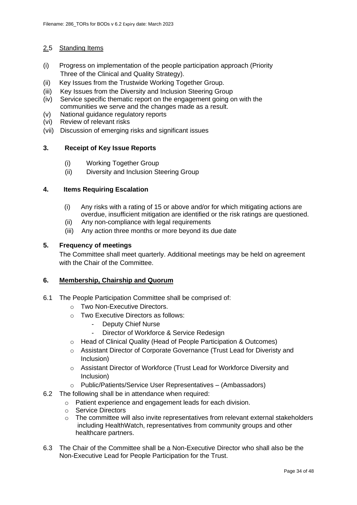### 2.5 Standing Items

- (i) Progress on implementation of the people participation approach (Priority Three of the Clinical and Quality Strategy).
- (ii) Key Issues from the Trustwide Working Together Group.
- (iii) Key Issues from the Diversity and Inclusion Steering Group
- (iv) Service specific thematic report on the engagement going on with the communities we serve and the changes made as a result.
- (v) National guidance regulatory reports
- (vi) Review of relevant risks
- (vii) Discussion of emerging risks and significant issues

#### **3. Receipt of Key Issue Reports**

- (i) Working Together Group
- (ii) Diversity and Inclusion Steering Group

#### **4. Items Requiring Escalation**

- (i) Any risks with a rating of 15 or above and/or for which mitigating actions are overdue, insufficient mitigation are identified or the risk ratings are questioned.
- (ii) Any non-compliance with legal requirements
- (iii) Any action three months or more beyond its due date

#### **5. Frequency of meetings**

The Committee shall meet quarterly. Additional meetings may be held on agreement with the Chair of the Committee.

#### **6. Membership, Chairship and Quorum**

- 6.1 The People Participation Committee shall be comprised of:
	- o Two Non-Executive Directors.
	- o Two Executive Directors as follows:
		- Deputy Chief Nurse
		- Director of Workforce & Service Redesign
	- o Head of Clinical Quality (Head of People Participation & Outcomes)
	- o Assistant Director of Corporate Governance (Trust Lead for Diveristy and Inclusion)
	- o Assistant Director of Workforce (Trust Lead for Workforce Diversity and Inclusion)
	- o Public/Patients/Service User Representatives (Ambassadors)
- 6.2 The following shall be in attendance when required:
	- o Patient experience and engagement leads for each division.
	- o Service Directors
	- $\circ$  The committee will also invite representatives from relevant external stakeholders including HealthWatch, representatives from community groups and other healthcare partners.
- 6.3 The Chair of the Committee shall be a Non-Executive Director who shall also be the Non-Executive Lead for People Participation for the Trust.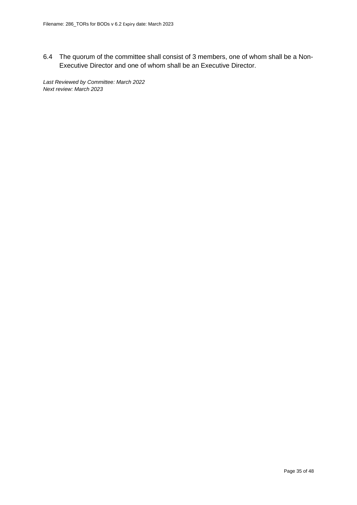6.4 The quorum of the committee shall consist of 3 members, one of whom shall be a Non-Executive Director and one of whom shall be an Executive Director.

*Last Reviewed by Committee: March 2022 Next review: March 2023*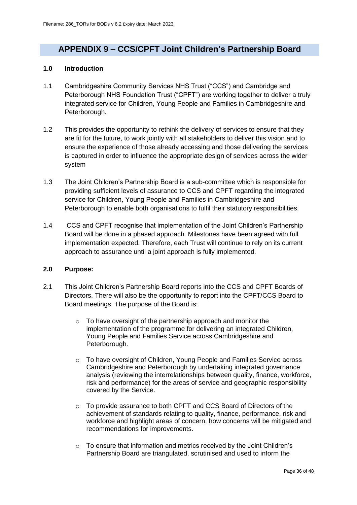## **APPENDIX 9 – CCS/CPFT Joint Children's Partnership Board**

#### **1.0 Introduction**

- 1.1 Cambridgeshire Community Services NHS Trust ("CCS") and Cambridge and Peterborough NHS Foundation Trust ("CPFT") are working together to deliver a truly integrated service for Children, Young People and Families in Cambridgeshire and Peterborough.
- 1.2 This provides the opportunity to rethink the delivery of services to ensure that they are fit for the future, to work jointly with all stakeholders to deliver this vision and to ensure the experience of those already accessing and those delivering the services is captured in order to influence the appropriate design of services across the wider system
- 1.3 The Joint Children's Partnership Board is a sub-committee which is responsible for providing sufficient levels of assurance to CCS and CPFT regarding the integrated service for Children, Young People and Families in Cambridgeshire and Peterborough to enable both organisations to fulfil their statutory responsibilities.
- 1.4 CCS and CPFT recognise that implementation of the Joint Children's Partnership Board will be done in a phased approach. Milestones have been agreed with full implementation expected. Therefore, each Trust will continue to rely on its current approach to assurance until a joint approach is fully implemented.

#### **2.0 Purpose:**

- 2.1 This Joint Children's Partnership Board reports into the CCS and CPFT Boards of Directors. There will also be the opportunity to report into the CPFT/CCS Board to Board meetings. The purpose of the Board is:
	- o To have oversight of the partnership approach and monitor the implementation of the programme for delivering an integrated Children, Young People and Families Service across Cambridgeshire and Peterborough.
	- o To have oversight of Children, Young People and Families Service across Cambridgeshire and Peterborough by undertaking integrated governance analysis (reviewing the interrelationships between quality, finance, workforce, risk and performance) for the areas of service and geographic responsibility covered by the Service.
	- o To provide assurance to both CPFT and CCS Board of Directors of the achievement of standards relating to quality, finance, performance, risk and workforce and highlight areas of concern, how concerns will be mitigated and recommendations for improvements.
	- o To ensure that information and metrics received by the Joint Children's Partnership Board are triangulated, scrutinised and used to inform the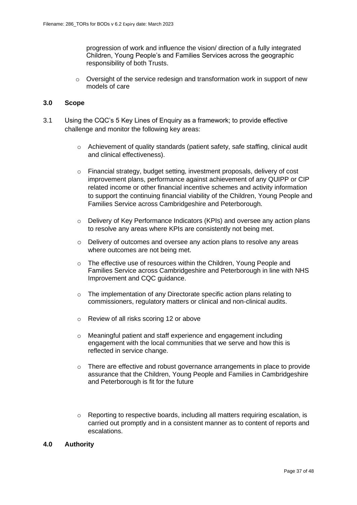progression of work and influence the vision/ direction of a fully integrated Children, Young People's and Families Services across the geographic responsibility of both Trusts.

 $\circ$  Oversight of the service redesign and transformation work in support of new models of care

#### **3.0 Scope**

- 3.1 Using the CQC's 5 Key Lines of Enquiry as a framework; to provide effective challenge and monitor the following key areas:
	- o Achievement of quality standards (patient safety, safe staffing, clinical audit and clinical effectiveness).
	- o Financial strategy, budget setting, investment proposals, delivery of cost improvement plans, performance against achievement of any QUIPP or CIP related income or other financial incentive schemes and activity information to support the continuing financial viability of the Children, Young People and Families Service across Cambridgeshire and Peterborough.
	- o Delivery of Key Performance Indicators (KPIs) and oversee any action plans to resolve any areas where KPIs are consistently not being met.
	- $\circ$  Delivery of outcomes and oversee any action plans to resolve any areas where outcomes are not being met.
	- o The effective use of resources within the Children, Young People and Families Service across Cambridgeshire and Peterborough in line with NHS Improvement and CQC guidance.
	- o The implementation of any Directorate specific action plans relating to commissioners, regulatory matters or clinical and non-clinical audits.
	- o Review of all risks scoring 12 or above
	- o Meaningful patient and staff experience and engagement including engagement with the local communities that we serve and how this is reflected in service change.
	- $\circ$  There are effective and robust governance arrangements in place to provide assurance that the Children, Young People and Families in Cambridgeshire and Peterborough is fit for the future
	- o Reporting to respective boards, including all matters requiring escalation, is carried out promptly and in a consistent manner as to content of reports and escalations.

#### **4.0 Authority**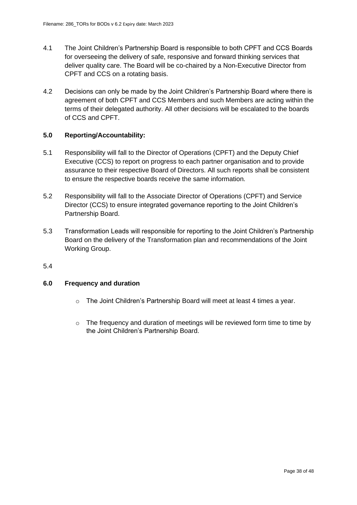- 4.1 The Joint Children's Partnership Board is responsible to both CPFT and CCS Boards for overseeing the delivery of safe, responsive and forward thinking services that deliver quality care. The Board will be co-chaired by a Non-Executive Director from CPFT and CCS on a rotating basis.
- 4.2 Decisions can only be made by the Joint Children's Partnership Board where there is agreement of both CPFT and CCS Members and such Members are acting within the terms of their delegated authority. All other decisions will be escalated to the boards of CCS and CPFT.

#### **5.0 Reporting/Accountability:**

- 5.1 Responsibility will fall to the Director of Operations (CPFT) and the Deputy Chief Executive (CCS) to report on progress to each partner organisation and to provide assurance to their respective Board of Directors. All such reports shall be consistent to ensure the respective boards receive the same information.
- 5.2 Responsibility will fall to the Associate Director of Operations (CPFT) and Service Director (CCS) to ensure integrated governance reporting to the Joint Children's Partnership Board.
- 5.3 Transformation Leads will responsible for reporting to the Joint Children's Partnership Board on the delivery of the Transformation plan and recommendations of the Joint Working Group.
- 5.4

#### **6.0 Frequency and duration**

- o The Joint Children's Partnership Board will meet at least 4 times a year.
- $\circ$  The frequency and duration of meetings will be reviewed form time to time by the Joint Children's Partnership Board.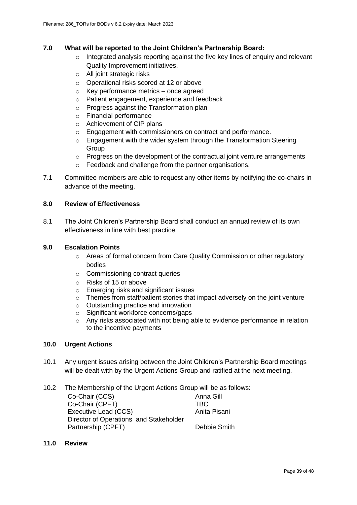#### **7.0 What will be reported to the Joint Children's Partnership Board:**

- o Integrated analysis reporting against the five key lines of enquiry and relevant Quality Improvement initiatives.
- o All joint strategic risks
- o Operational risks scored at 12 or above
- o Key performance metrics once agreed
- o Patient engagement, experience and feedback
- o Progress against the Transformation plan
- o Financial performance
- o Achievement of CIP plans
- o Engagement with commissioners on contract and performance.
- o Engagement with the wider system through the Transformation Steering **Group**
- $\circ$  Progress on the development of the contractual joint venture arrangements
- o Feedback and challenge from the partner organisations.
- 7.1 Committee members are able to request any other items by notifying the co-chairs in advance of the meeting.

#### **8.0 Review of Effectiveness**

8.1 The Joint Children's Partnership Board shall conduct an annual review of its own effectiveness in line with best practice.

#### **9.0 Escalation Points**

- o Areas of formal concern from Care Quality Commission or other regulatory bodies
- o Commissioning contract queries
- o Risks of 15 or above
- o Emerging risks and significant issues
- o Themes from staff/patient stories that impact adversely on the joint venture
- o Outstanding practice and innovation
- o Significant workforce concerns/gaps
- o Any risks associated with not being able to evidence performance in relation to the incentive payments

#### **10.0 Urgent Actions**

- 10.1 Any urgent issues arising between the Joint Children's Partnership Board meetings will be dealt with by the Urgent Actions Group and ratified at the next meeting.
- 10.2 The Membership of the Urgent Actions Group will be as follows:

| Co-Chair (CCS)                         | Anna Gill    |
|----------------------------------------|--------------|
| Co-Chair (CPFT)                        | TBC.         |
| Executive Lead (CCS)                   | Anita Pisani |
| Director of Operations and Stakeholder |              |
| Partnership (CPFT)                     | Debbie Smith |
|                                        |              |

**11.0 Review**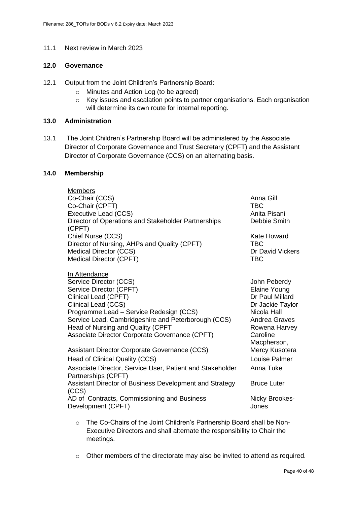#### 11.1 Next review in March 2023

### **12.0 Governance**

- 12.1 Output from the Joint Children's Partnership Board:
	- o Minutes and Action Log (to be agreed)
	- o Key issues and escalation points to partner organisations. Each organisation will determine its own route for internal reporting.

#### **13.0 Administration**

13.1 The Joint Children's Partnership Board will be administered by the Associate Director of Corporate Governance and Trust Secretary (CPFT) and the Assistant Director of Corporate Governance (CCS) on an alternating basis.

#### **14.0 Membership**

| <b>Members</b><br>Co-Chair (CCS)<br>Co-Chair (CPFT)<br>Executive Lead (CCS)<br>Director of Operations and Stakeholder Partnerships                                                                                                                                                                         | Anna Gill<br>TBC<br>Anita Pisani<br>Debbie Smith                                                                                 |
|------------------------------------------------------------------------------------------------------------------------------------------------------------------------------------------------------------------------------------------------------------------------------------------------------------|----------------------------------------------------------------------------------------------------------------------------------|
| (CPFT)<br>Chief Nurse (CCS)<br>Director of Nursing, AHPs and Quality (CPFT)<br><b>Medical Director (CCS)</b><br>Medical Director (CPFT)                                                                                                                                                                    | Kate Howard<br><b>TBC</b><br>Dr David Vickers<br><b>TBC</b>                                                                      |
| In Attendance<br>Service Director (CCS)<br>Service Director (CPFT)<br>Clinical Lead (CPFT)<br>Clinical Lead (CCS)<br>Programme Lead - Service Redesign (CCS)<br>Service Lead, Cambridgeshire and Peterborough (CCS)<br>Head of Nursing and Quality (CPFT<br>Associate Director Corporate Governance (CPFT) | John Peberdy<br>Elaine Young<br>Dr Paul Millard<br>Dr Jackie Taylor<br>Nicola Hall<br>Andrea Graves<br>Rowena Harvey<br>Caroline |
| Assistant Director Corporate Governance (CCS)<br>Head of Clinical Quality (CCS)<br>Associate Director, Service User, Patient and Stakeholder                                                                                                                                                               | Macpherson,<br>Mercy Kusotera<br>Louise Palmer<br>Anna Tuke                                                                      |
| Partnerships (CPFT)<br>Assistant Director of Business Development and Strategy<br>(CCS)<br>AD of Contracts, Commissioning and Business<br>Development (CPFT)                                                                                                                                               | <b>Bruce Luter</b><br>Nicky Brookes-<br>Jones                                                                                    |

- o The Co-Chairs of the Joint Children's Partnership Board shall be Non-Executive Directors and shall alternate the responsibility to Chair the meetings.
- $\circ$  Other members of the directorate may also be invited to attend as required.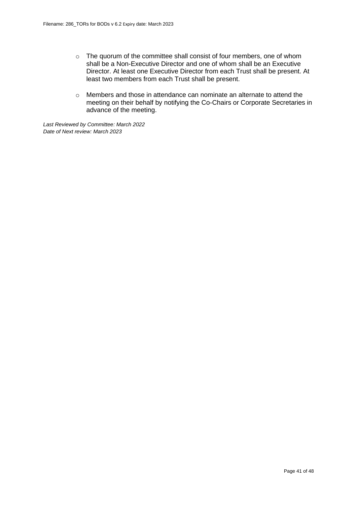- o The quorum of the committee shall consist of four members, one of whom shall be a Non-Executive Director and one of whom shall be an Executive Director. At least one Executive Director from each Trust shall be present. At least two members from each Trust shall be present.
- o Members and those in attendance can nominate an alternate to attend the meeting on their behalf by notifying the Co-Chairs or Corporate Secretaries in advance of the meeting.

*Last Reviewed by Committee: March 2022 Date of Next review: March 2023*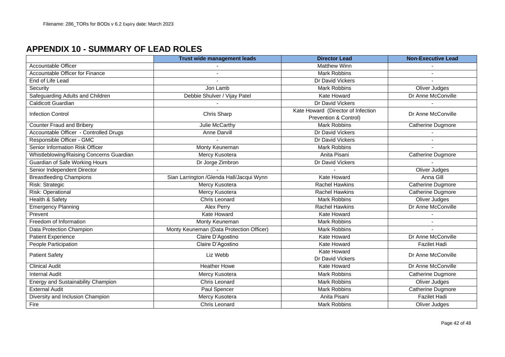## **APPENDIX 10 - SUMMARY OF LEAD ROLES**

|                                           | Trust wide management leads               | <b>Director Lead</b>               | <b>Non-Executive Lead</b> |
|-------------------------------------------|-------------------------------------------|------------------------------------|---------------------------|
| <b>Accountable Officer</b>                |                                           | <b>Matthew Winn</b>                |                           |
| Accountable Officer for Finance           |                                           | <b>Mark Robbins</b>                |                           |
| End of Life Lead                          |                                           | Dr David Vickers                   |                           |
| Security                                  | Jon Lamb                                  | <b>Mark Robbins</b>                | Oliver Judges             |
| Safeguarding Adults and Children          | Debbie Shulver / Vijay Patel              | <b>Kate Howard</b>                 | Dr Anne McConville        |
| <b>Caldicott Guardian</b>                 |                                           | Dr David Vickers                   |                           |
| <b>Infection Control</b>                  | Chris Sharp                               | Kate Howard (Director of Infection | Dr Anne McConville        |
|                                           |                                           | Prevention & Control)              |                           |
| <b>Counter Fraud and Bribery</b>          | Julie McCarthy                            | <b>Mark Robbins</b>                | <b>Catherine Dugmore</b>  |
| Accountable Officer - Controlled Drugs    | Anne Darvill                              | Dr David Vickers                   |                           |
| Responsible Officer - GMC                 |                                           | Dr David Vickers                   |                           |
| Senior Information Risk Officer           | Monty Keuneman                            | <b>Mark Robbins</b>                |                           |
| Whistleblowing/Raising Concerns Guardian  | Mercy Kusotera                            | Anita Pisani                       | Catherine Dugmore         |
| Guardian of Safe Working Hours            | Dr Jorge Zimbron                          | Dr David Vickers                   |                           |
| Senior Independent Director               |                                           |                                    | Oliver Judges             |
| <b>Breastfeeding Champions</b>            | Sian Larrington / Glenda Hall/Jacqui Wynn | <b>Kate Howard</b>                 | Anna Gill                 |
| Risk: Strategic                           | Mercy Kusotera                            | <b>Rachel Hawkins</b>              | Catherine Dugmore         |
| Risk: Operational                         | Mercy Kusotera                            | <b>Rachel Hawkins</b>              | Catherine Dugmore         |
| Health & Safety                           | Chris Leonard                             | <b>Mark Robbins</b>                | Oliver Judges             |
| <b>Emergency Planning</b>                 | Alex Perry                                | <b>Rachel Hawkins</b>              | Dr Anne McConville        |
| Prevent                                   | Kate Howard                               | Kate Howard                        |                           |
| Freedom of Information                    | Monty Keuneman                            | <b>Mark Robbins</b>                |                           |
| Data Protection Champion                  | Monty Keuneman (Data Protection Officer)  | <b>Mark Robbins</b>                |                           |
| <b>Patient Experience</b>                 | Claire D'Agostino                         | <b>Kate Howard</b>                 | Dr Anne McConville        |
| People Participation                      | Claire D'Agostino                         | <b>Kate Howard</b>                 | <b>Fazilet Hadi</b>       |
| <b>Patient Safety</b>                     | Liz Webb                                  | <b>Kate Howard</b>                 | Dr Anne McConville        |
|                                           |                                           | Dr David Vickers                   |                           |
| <b>Clinical Audit</b>                     | <b>Heather Howe</b>                       | <b>Kate Howard</b>                 | Dr Anne McConville        |
| <b>Internal Audit</b>                     | Mercy Kusotera                            | <b>Mark Robbins</b>                | Catherine Dugmore         |
| <b>Energy and Sustainability Champion</b> | <b>Chris Leonard</b>                      | <b>Mark Robbins</b>                | Oliver Judges             |
| <b>External Audit</b>                     | Paul Spencer                              | <b>Mark Robbins</b>                | <b>Catherine Dugmore</b>  |
| Diversity and Inclusion Champion          | Mercy Kusotera                            | Anita Pisani                       | <b>Fazilet Hadi</b>       |
| Fire                                      | Chris Leonard                             | <b>Mark Robbins</b>                | Oliver Judges             |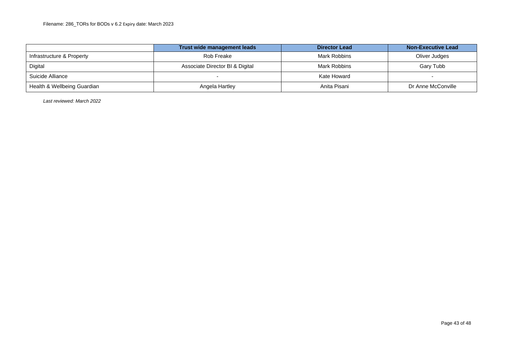|                             | Trust wide management leads     | <b>Director Lead</b> | <b>Non-Executive Lead</b> |
|-----------------------------|---------------------------------|----------------------|---------------------------|
| Infrastructure & Property   | Rob Freake                      | Mark Robbins         | Oliver Judges             |
| Digital                     | Associate Director BI & Digital | Mark Robbins         | Gary Tubb                 |
| Suicide Alliance            |                                 | Kate Howard          |                           |
| Health & Wellbeing Guardian | Angela Hartley                  | Anita Pisani         | Dr Anne McConville        |

*Last reviewed: March 2022*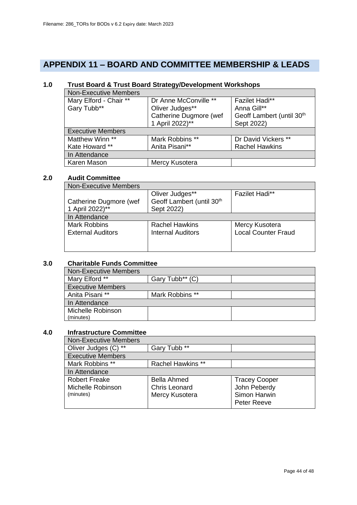## **APPENDIX 11 – BOARD AND COMMITTEE MEMBERSHIP & LEADS**

## **1.0 Trust Board & Trust Board Strategy/Development Workshops**

| <b>Non-Executive Members</b> |                        |                                       |
|------------------------------|------------------------|---------------------------------------|
| Mary Elford - Chair **       | Dr Anne McConville **  | <b>Fazilet Hadi**</b>                 |
| Gary Tubb**                  | Oliver Judges**        | Anna Gill**                           |
|                              | Catherine Dugmore (wef | Geoff Lambert (until 30 <sup>th</sup> |
|                              | 1 April 2022)**        | Sept 2022)                            |
| <b>Executive Members</b>     |                        |                                       |
| Matthew Winn **              | Mark Robbins **        | Dr David Vickers **                   |
| Kate Howard **               | Anita Pisani**         | <b>Rachel Hawkins</b>                 |
| In Attendance                |                        |                                       |
| Karen Mason                  | Mercy Kusotera         |                                       |

#### **2.0 Audit Committee**

| <b>Non-Executive Members</b> |                                       |                            |
|------------------------------|---------------------------------------|----------------------------|
|                              | Oliver Judges**                       | <b>Fazilet Hadi**</b>      |
| Catherine Dugmore (wef       | Geoff Lambert (until 30 <sup>th</sup> |                            |
| 1 April 2022)**              | Sept 2022)                            |                            |
| In Attendance                |                                       |                            |
| <b>Mark Robbins</b>          | <b>Rachel Hawkins</b>                 | Mercy Kusotera             |
| <b>External Auditors</b>     | <b>Internal Auditors</b>              | <b>Local Counter Fraud</b> |
|                              |                                       |                            |
|                              |                                       |                            |

### **3.0 Charitable Funds Committee**

| <b>Non-Executive Members</b> |                             |  |
|------------------------------|-----------------------------|--|
| Mary Elford **               | Gary Tubb <sup>**</sup> (C) |  |
| <b>Executive Members</b>     |                             |  |
| Anita Pisani **              | Mark Robbins **             |  |
| In Attendance                |                             |  |
| Michelle Robinson            |                             |  |
| (minutes)                    |                             |  |

#### **4.0 Infrastructure Committee**

| Non-Executive Members    |                          |                      |
|--------------------------|--------------------------|----------------------|
| Oliver Judges (C)<br>**  | Gary Tubb <sup>**</sup>  |                      |
| <b>Executive Members</b> |                          |                      |
| Mark Robbins **          | <b>Rachel Hawkins **</b> |                      |
| In Attendance            |                          |                      |
| <b>Robert Freake</b>     | <b>Bella Ahmed</b>       | <b>Tracey Cooper</b> |
| Michelle Robinson        | <b>Chris Leonard</b>     | John Peberdy         |
| (minutes)                | Mercy Kusotera           | Simon Harwin         |
|                          |                          | Peter Reeve          |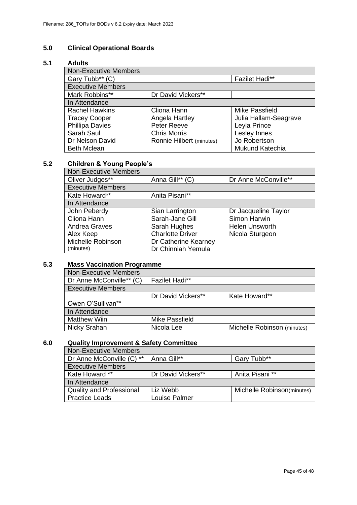## **5.0 Clinical Operational Boards**

#### **5.1 Adults**

| <b>Non-Executive Members</b> |                          |                       |
|------------------------------|--------------------------|-----------------------|
| Gary Tubb** (C)              |                          | <b>Fazilet Hadi**</b> |
| <b>Executive Members</b>     |                          |                       |
| Mark Robbins**               | Dr David Vickers**       |                       |
| In Attendance                |                          |                       |
| <b>Rachel Hawkins</b>        | Cliona Hann              | Mike Passfield        |
| <b>Tracey Cooper</b>         | Angela Hartley           | Julia Hallam-Seagrave |
| <b>Phillipa Davies</b>       | Peter Reeve              | Leyla Prince          |
| Sarah Saul                   | <b>Chris Morris</b>      | Lesley Innes          |
| Dr Nelson David              | Ronnie Hilbert (minutes) | Jo Robertson          |
| <b>Beth Mclean</b>           |                          | Mukund Katechia       |

## **5.2 Children & Young People's**

| <b>Non-Executive Members</b> |                         |                       |
|------------------------------|-------------------------|-----------------------|
| Oliver Judges**              | Anna Gill** (C)         | Dr Anne McConville**  |
| <b>Executive Members</b>     |                         |                       |
| Kate Howard**                | Anita Pisani**          |                       |
| In Attendance                |                         |                       |
| John Peberdy                 | Sian Larrington         | Dr Jacqueline Taylor  |
| Cliona Hann                  | Sarah-Jane Gill         | Simon Harwin          |
| <b>Andrea Graves</b>         | Sarah Hughes            | <b>Helen Unsworth</b> |
| Alex Keep                    | <b>Charlotte Driver</b> | Nicola Sturgeon       |
| Michelle Robinson            | Dr Catherine Kearney    |                       |
| (minutes)                    | Dr Chinniah Yemula      |                       |

## **5.3 Mass Vaccination Programme**

| <b>Non-Executive Members</b> |                       |                             |  |
|------------------------------|-----------------------|-----------------------------|--|
| Dr Anne McConville** (C)     | <b>Fazilet Hadi**</b> |                             |  |
| <b>Executive Members</b>     |                       |                             |  |
|                              | Dr David Vickers**    | Kate Howard**               |  |
| Owen O'Sullivan**            |                       |                             |  |
| In Attendance                |                       |                             |  |
| <b>Matthew Wiin</b>          | Mike Passfield        |                             |  |
| Nicky Srahan                 | Nicola Lee            | Michelle Robinson (minutes) |  |

#### **6.0 Quality Improvement & Safety Committee**

| <b>Non-Executive Members</b>    |                    |                            |
|---------------------------------|--------------------|----------------------------|
| Dr Anne McConville (C) **       | Anna Gill**        | Gary Tubb**                |
| <b>Executive Members</b>        |                    |                            |
| Kate Howard **                  | Dr David Vickers** | Anita Pisani **            |
| In Attendance                   |                    |                            |
| <b>Quality and Professional</b> | Liz Webb           | Michelle Robinson(minutes) |
| <b>Practice Leads</b>           | Louise Palmer      |                            |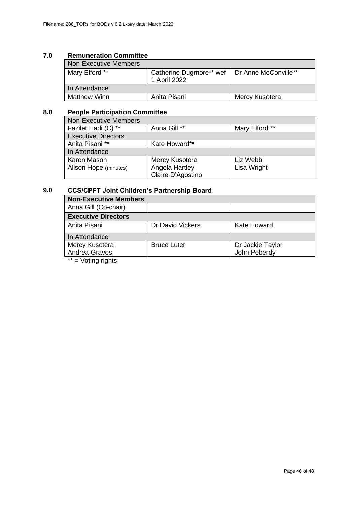#### **7.0 Remuneration Committee**

| <b>Non-Executive Members</b> |                                                                |                |
|------------------------------|----------------------------------------------------------------|----------------|
| Mary Elford **               | Catherine Dugmore** wef   Dr Anne McConville**<br>1 April 2022 |                |
| In Attendance                |                                                                |                |
| <b>Matthew Winn</b>          | Anita Pisani                                                   | Mercy Kusotera |

### **8.0 People Participation Committee**

| <b>Non-Executive Members</b> |                   |                |
|------------------------------|-------------------|----------------|
| Fazilet Hadi (C) **          | Anna Gill **      | Mary Elford ** |
| <b>Executive Directors</b>   |                   |                |
| Anita Pisani **              | Kate Howard**     |                |
| In Attendance                |                   |                |
| Karen Mason                  | Mercy Kusotera    | Liz Webb       |
| Alison Hope (minutes)        | Angela Hartley    | Lisa Wright    |
|                              | Claire D'Agostino |                |

#### **9.0 CCS/CPFT Joint Children's Partnership Board**

| <b>Non-Executive Members</b> |                    |                  |
|------------------------------|--------------------|------------------|
| Anna Gill (Co-chair)         |                    |                  |
| <b>Executive Directors</b>   |                    |                  |
| Anita Pisani                 | Dr David Vickers   | Kate Howard      |
| In Attendance                |                    |                  |
| Mercy Kusotera               | <b>Bruce Luter</b> | Dr Jackie Taylor |
| Andrea Graves                |                    | John Peberdy     |
| **<br>المفعلمات والمسافدان   |                    |                  |

 $=$  Voting rights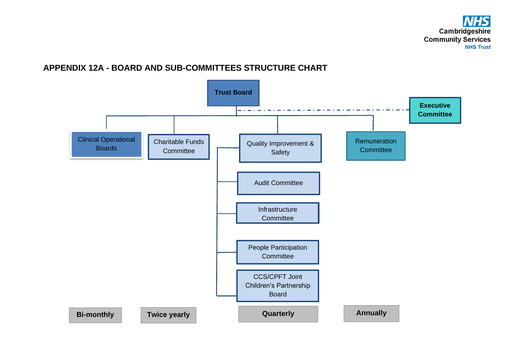## **APPENDIX 12A - BOARD AND SUB-COMMITTEES STRUCTURE CHART**